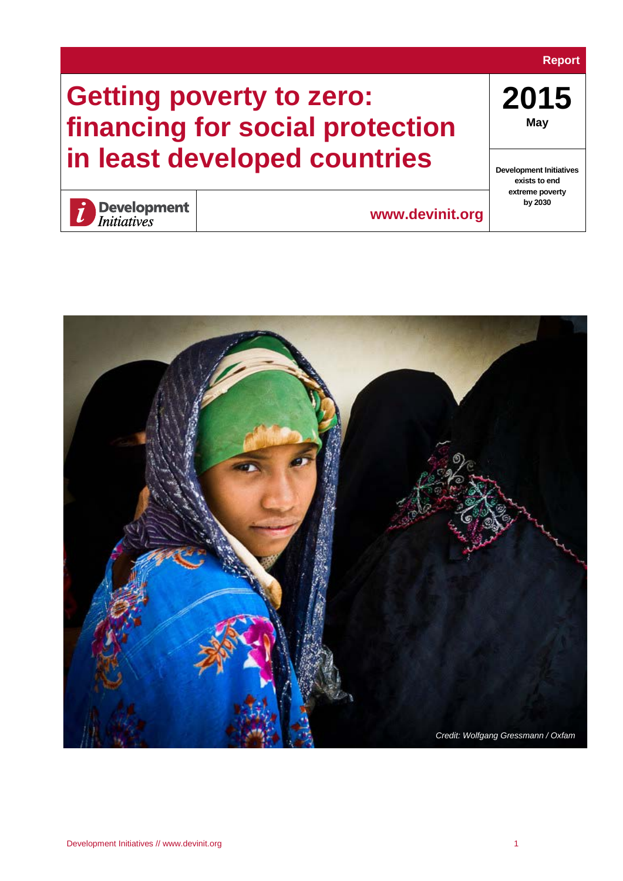#### **Report**

# **Getting poverty to zero: financing for social protection in least developed countries**

**2015 May** 

**Development Initiatives exists to end extreme poverty by 2030**



**Development**<br>Initiatives

**[www.devinit.org](http://www.devinit.org/)**

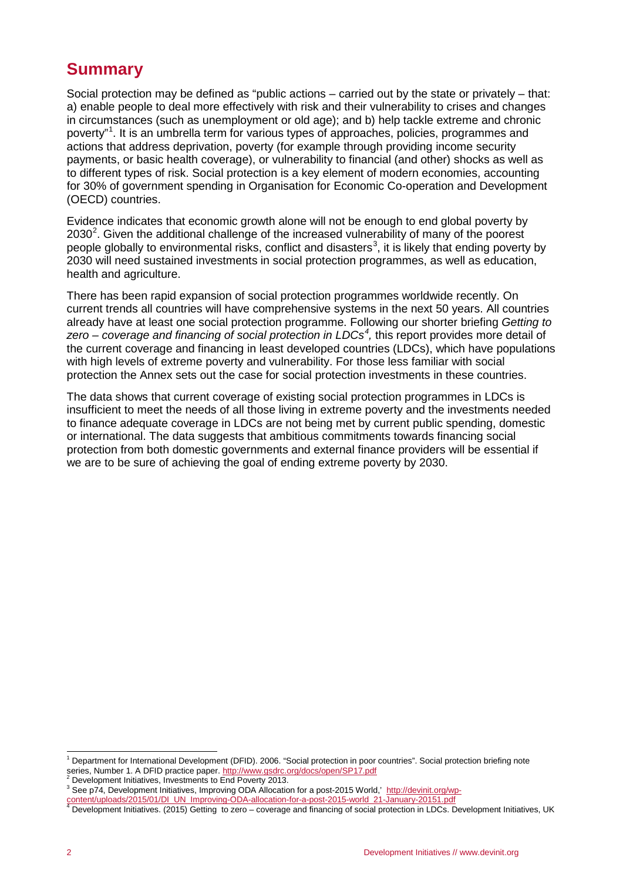# <span id="page-1-4"></span>**Summary**

Social protection may be defined as "public actions – carried out by the state or privately – that: a) enable people to deal more effectively with risk and their vulnerability to crises and changes in circumstances (such as unemployment or old age); and b) help tackle extreme and chronic poverty"<sup>[1](#page-1-0)</sup>. It is an umbrella term for various types of approaches, policies, programmes and actions that address deprivation, poverty (for example through providing income security payments, or basic health coverage), or vulnerability to financial (and other) shocks as well as to different types of risk. Social protection is a key element of modern economies, accounting for 30% of government spending in Organisation for Economic Co-operation and Development (OECD) countries.

Evidence indicates that economic growth alone will not be enough to end global poverty by [2](#page-1-1)030<sup>2</sup>. Given the additional challenge of the increased vulnerability of many of the poorest people globally to environmental risks, conflict and disasters<sup>[3](#page-1-2)</sup>, it is likely that ending poverty by 2030 will need sustained investments in social protection programmes, as well as education, health and agriculture.

There has been rapid expansion of social protection programmes worldwide recently. On current trends all countries will have comprehensive systems in the next 50 years. All countries already have at least one social protection programme. Following our shorter briefing *Getting to*  zero – *coverage and financing of social protection in LDCs<sup>[4](#page-1-3)</sup>, this report provides more detail of* the current coverage and financing in least developed countries (LDCs), which have populations with high levels of extreme poverty and vulnerability. For those less familiar with social protection the Annex sets out the case for social protection investments in these countries.

The data shows that current coverage of existing social protection programmes in LDCs is insufficient to meet the needs of all those living in extreme poverty and the investments needed to finance adequate coverage in LDCs are not being met by current public spending, domestic or international. The data suggests that ambitious commitments towards financing social protection from both domestic governments and external finance providers will be essential if we are to be sure of achieving the goal of ending extreme poverty by 2030.

<span id="page-1-0"></span><sup>&</sup>lt;sup>1</sup> Department for International Development (DFID). 2006. "Social protection in poor countries". Social protection briefing note series, Number 1. A DFID practice paper. http://www.gsdrc.org/docs/open/SP17.pdf

<span id="page-1-2"></span><span id="page-1-1"></span><sup>&</sup>lt;sup>2</sup> Development Initiatives, Investments to End Poverty 2013.<br><sup>3</sup> See p74, Development Initiatives, Improving ODA Allocation for a post-2015 World,' [http://devinit.org/wp](http://devinit.org/wp-content/uploads/2015/01/DI_UN_Improving-ODA-allocation-for-a-post-2015-world_21-January-20151.pdf)ontent/uploads/2015/01/DL UN\_Improving-ODA-allocation-for-a-post-2015-world 21-January-20151.pdf<br>The discrete post-2015-world 21-January-20151.pdf<br>Tevelopment Initiatives. (2015) Getting to zero – coverage and financing of

<span id="page-1-3"></span>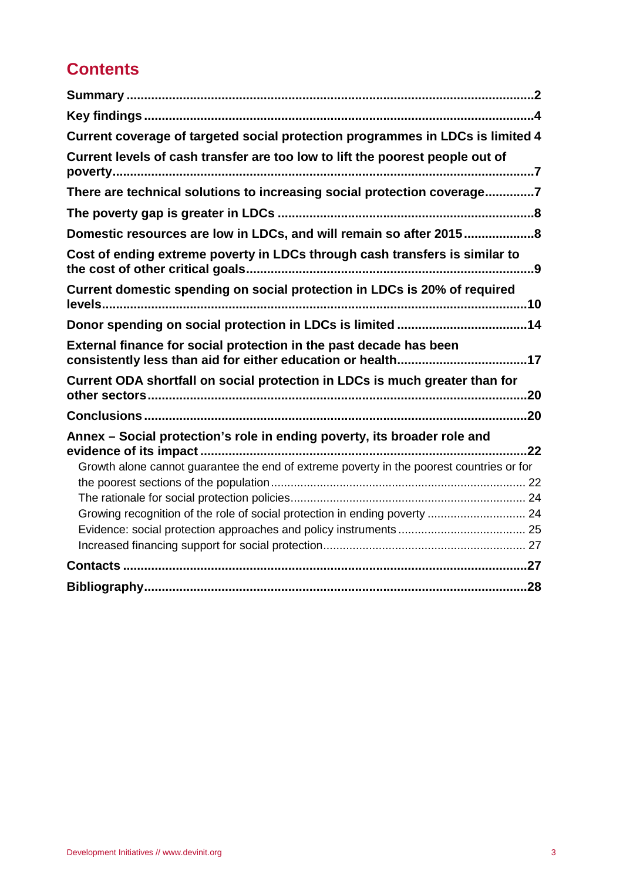# **Contents**

| Current coverage of targeted social protection programmes in LDCs is limited 4           |
|------------------------------------------------------------------------------------------|
| Current levels of cash transfer are too low to lift the poorest people out of            |
| There are technical solutions to increasing social protection coverage7                  |
|                                                                                          |
| Domestic resources are low in LDCs, and will remain so after 20158                       |
| Cost of ending extreme poverty in LDCs through cash transfers is similar to              |
| Current domestic spending on social protection in LDCs is 20% of required                |
| Donor spending on social protection in LDCs is limited 14                                |
| External finance for social protection in the past decade has been                       |
| Current ODA shortfall on social protection in LDCs is much greater than for              |
|                                                                                          |
| Annex - Social protection's role in ending poverty, its broader role and                 |
| Growth alone cannot guarantee the end of extreme poverty in the poorest countries or for |
|                                                                                          |
| Growing recognition of the role of social protection in ending poverty  24               |
|                                                                                          |
|                                                                                          |
|                                                                                          |
|                                                                                          |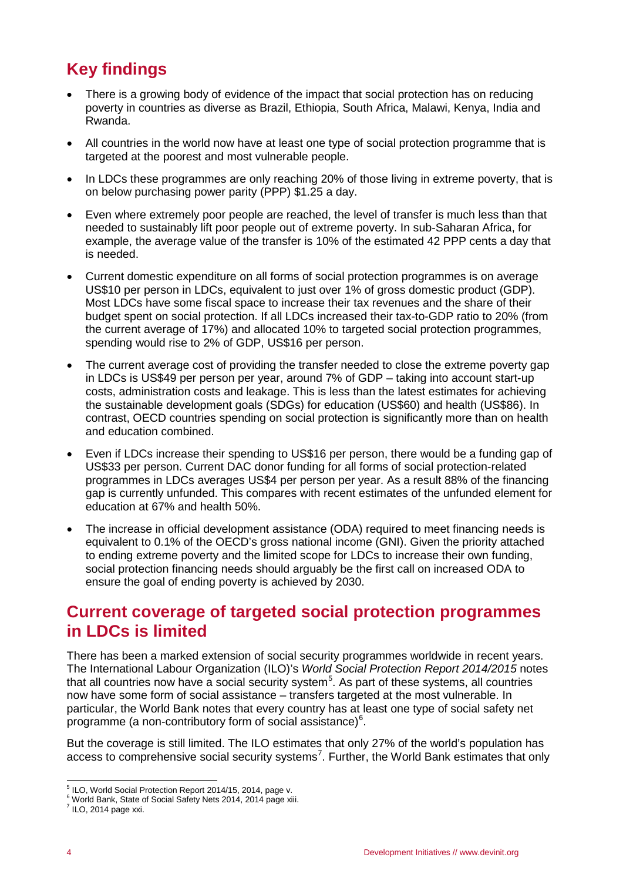# <span id="page-3-0"></span>**Key findings**

- There is a growing body of evidence of the impact that social protection has on reducing poverty in countries as diverse as Brazil, Ethiopia, South Africa, Malawi, Kenya, India and Rwanda.
- All countries in the world now have at least one type of social protection programme that is targeted at the poorest and most vulnerable people.
- In LDCs these programmes are only reaching 20% of those living in extreme poverty, that is on below purchasing power parity (PPP) \$1.25 a day.
- Even where extremely poor people are reached, the level of transfer is much less than that needed to sustainably lift poor people out of extreme poverty. In sub-Saharan Africa, for example, the average value of the transfer is 10% of the estimated 42 PPP cents a day that is needed.
- Current domestic expenditure on all forms of social protection programmes is on average US\$10 per person in LDCs, equivalent to just over 1% of gross domestic product (GDP). Most LDCs have some fiscal space to increase their tax revenues and the share of their budget spent on social protection. If all LDCs increased their tax-to-GDP ratio to 20% (from the current average of 17%) and allocated 10% to targeted social protection programmes, spending would rise to 2% of GDP, US\$16 per person.
- The current average cost of providing the transfer needed to close the extreme poverty gap in LDCs is US\$49 per person per year, around 7% of GDP – taking into account start-up costs, administration costs and leakage. This is less than the latest estimates for achieving the sustainable development goals (SDGs) for education (US\$60) and health (US\$86). In contrast, OECD countries spending on social protection is significantly more than on health and education combined.
- Even if LDCs increase their spending to US\$16 per person, there would be a funding gap of US\$33 per person. Current DAC donor funding for all forms of social protection-related programmes in LDCs averages US\$4 per person per year. As a result 88% of the financing gap is currently unfunded. This compares with recent estimates of the unfunded element for education at 67% and health 50%.
- The increase in official development assistance (ODA) required to meet financing needs is equivalent to 0.1% of the OECD's gross national income (GNI). Given the priority attached to ending extreme poverty and the limited scope for LDCs to increase their own funding, social protection financing needs should arguably be the first call on increased ODA to ensure the goal of ending poverty is achieved by 2030.

### <span id="page-3-1"></span>**Current coverage of targeted social protection programmes in LDCs is limited**

There has been a marked extension of social security programmes worldwide in recent years. The International Labour Organization (ILO)'s *World Social Protection Report 2014/2015* notes that all countries now have a social security system<sup>[5](#page-3-2)</sup>. As part of these systems, all countries now have some form of social assistance – transfers targeted at the most vulnerable. In particular, the World Bank notes that every country has at least one type of social safety net programme (a non-contributory form of social assistance) $^6$  $^6$ .

But the coverage is still limited. The ILO estimates that only 27% of the world's population has access to comprehensive social security systems<sup>[7](#page-3-4)</sup>. Further, the World Bank estimates that only

<span id="page-3-2"></span> <sup>5</sup> ILO, World Social Protection Report 2014/15, 2014, page v.

<span id="page-3-3"></span><sup>&</sup>lt;sup>6</sup> World Bank, State of Social Safety Nets 2014, 2014 page xiii.

<span id="page-3-4"></span> $^7$  ILO, 2014 page xxi.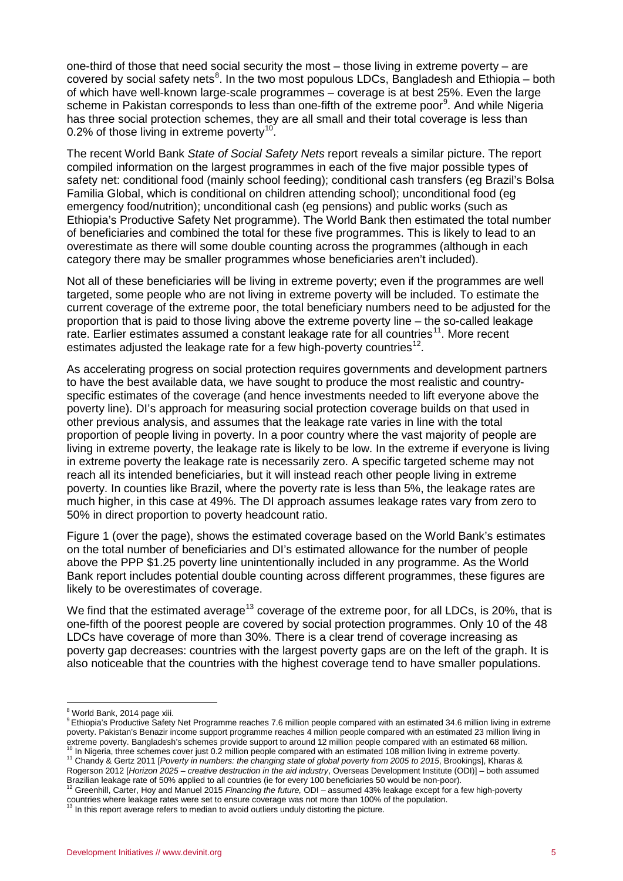one-third of those that need social security the most – those living in extreme poverty – are covered by social safety nets<sup>[8](#page-4-0)</sup>. In the two most populous LDCs, Bangladesh and Ethiopia – both of which have well-known large-scale programmes – coverage is at best 25%. Even the large scheme in Pakistan corresponds to less than one-fifth of the extreme poor<sup>[9](#page-4-1)</sup>. And while Nigeria has three social protection schemes, they are all small and their total coverage is less than 0.2% of those living in extreme poverty<sup>[10](#page-4-2)</sup>.

The recent World Bank *State of Social Safety Nets* report reveals a similar picture. The report compiled information on the largest programmes in each of the five major possible types of safety net: conditional food (mainly school feeding); conditional cash transfers (eg Brazil's Bolsa Familia Global, which is conditional on children attending school); unconditional food (eg emergency food/nutrition); unconditional cash (eg pensions) and public works (such as Ethiopia's Productive Safety Net programme). The World Bank then estimated the total number of beneficiaries and combined the total for these five programmes. This is likely to lead to an overestimate as there will some double counting across the programmes (although in each category there may be smaller programmes whose beneficiaries aren't included).

Not all of these beneficiaries will be living in extreme poverty; even if the programmes are well targeted, some people who are not living in extreme poverty will be included. To estimate the current coverage of the extreme poor, the total beneficiary numbers need to be adjusted for the proportion that is paid to those living above the extreme poverty line – the so-called leakage rate. Earlier estimates assumed a constant leakage rate for all countries<sup>11</sup>. More recent estimates adjusted the leakage rate for a few high-poverty countries<sup>[12](#page-4-4)</sup>.

As accelerating progress on social protection requires governments and development partners to have the best available data, we have sought to produce the most realistic and countryspecific estimates of the coverage (and hence investments needed to lift everyone above the poverty line). DI's approach for measuring social protection coverage builds on that used in other previous analysis, and assumes that the leakage rate varies in line with the total proportion of people living in poverty. In a poor country where the vast majority of people are living in extreme poverty, the leakage rate is likely to be low. In the extreme if everyone is living in extreme poverty the leakage rate is necessarily zero. A specific targeted scheme may not reach all its intended beneficiaries, but it will instead reach other people living in extreme poverty. In counties like Brazil, where the poverty rate is less than 5%, the leakage rates are much higher, in this case at 49%. The DI approach assumes leakage rates vary from zero to 50% in direct proportion to poverty headcount ratio.

Figure 1 (over the page), shows the estimated coverage based on the World Bank's estimates on the total number of beneficiaries and DI's estimated allowance for the number of people above the PPP \$1.25 poverty line unintentionally included in any programme. As the World Bank report includes potential double counting across different programmes, these figures are likely to be overestimates of coverage.

We find that the estimated average<sup>[13](#page-4-5)</sup> coverage of the extreme poor, for all LDCs, is 20%, that is one-fifth of the poorest people are covered by social protection programmes. Only 10 of the 48 LDCs have coverage of more than 30%. There is a clear trend of coverage increasing as poverty gap decreases: countries with the largest poverty gaps are on the left of the graph. It is also noticeable that the countries with the highest coverage tend to have smaller populations.

<span id="page-4-1"></span><span id="page-4-0"></span>9 Ethiopia's Productive Safety Net Programme reaches 7.6 million people compared with an estimated 34.6 million living in extreme poverty. Pakistan's Benazir income support programme reaches 4 million people compared with an estimated 23 million living in extreme poverty. Bangladesh's schemes provide support to around 12 million people compared with an estimated 68 million.<br><sup>10</sup> In Nigeria, three schemes cover just 0.2 million people compared with an estimated 108 million l

<span id="page-4-3"></span><span id="page-4-2"></span>Rogerson 2012 [*Horizon 2025 – creative destruction in the aid industry*, Overseas Development Institute (ODI)] – both assumed Brazilian leakage rate of 50% applied to all countries (ie for every 100 beneficiaries 50 would be non-poor).<br><sup>12</sup> Greenhill, Carter, Hoy and Manuel 2015 *Financing the future*, ODI – assumed 43% leakage except for a few h

<span id="page-4-5"></span>

<sup>&</sup>lt;sup>8</sup> World Bank, 2014 page xiii.

<span id="page-4-4"></span>countries where leakage rates were set to ensure coverage was not more than 100% of the population.<br><sup>13</sup> In this report average refers to median to avoid outliers unduly distorting the picture.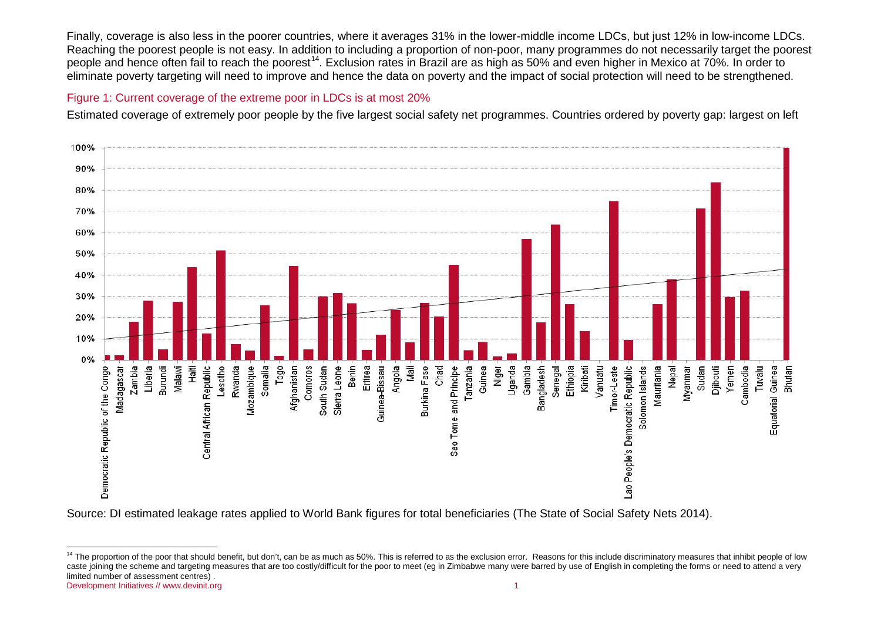<span id="page-5-0"></span>Finally, coverage is also less in the poorer countries, where it averages 31% in the lower-middle income LDCs, but just 12% in low-income LDCs. Reaching the poorest people is not easy. In addition to including a proportion of non-poor, many programmes do not necessarily target the poorest people and hence often fail to reach the poorest<sup>[14](#page-5-0)</sup>. Exclusion rates in Brazil are as high as 50% and even higher in Mexico at 70%. In order to eliminate poverty targeting will need to improve and hence the data on poverty and the impact of social protection will need to be strengthened.

#### Figure 1: Current coverage of the extreme poor in LDCs is at most 20%

Estimated coverage of extremely poor people by the five largest social safety net programmes. Countries ordered by poverty gap: largest on left



Source: DI estimated leakage rates applied to World Bank figures for total beneficiaries (The State of Social Safety Nets 2014).

Development Initiatives /[/ www.devinit.org](http://www.devinit.org/) 1 <sup>14</sup> The proportion of the poor that should benefit, but don't, can be as much as 50%. This is referred to as the exclusion error. Reasons for this include discriminatory measures that inhibit people of low caste joining the scheme and targeting measures that are too costly/difficult for the poor to meet (eg in Zimbabwe many were barred by use of English in completing the forms or need to attend a very limited number of assessment centres) .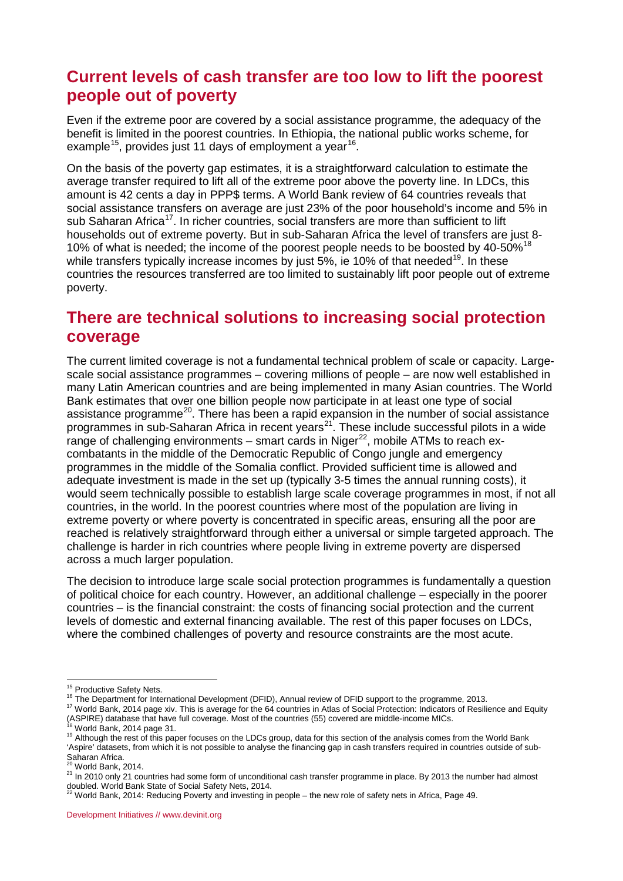### <span id="page-6-0"></span>**Current levels of cash transfer are too low to lift the poorest people out of poverty**

Even if the extreme poor are covered by a social assistance programme, the adequacy of the benefit is limited in the poorest countries. In Ethiopia, the national public works scheme, for example<sup>15</sup>, provides just 11 days of employment a year<sup>[16](#page-6-3)</sup>.

On the basis of the poverty gap estimates, it is a straightforward calculation to estimate the average transfer required to lift all of the extreme poor above the poverty line. In LDCs, this amount is 42 cents a day in PPP\$ terms. A World Bank review of 64 countries reveals that social assistance transfers on average are just 23% of the poor household's income and 5% in sub Saharan Africa<sup>17</sup>. In richer countries, social transfers are more than sufficient to lift households out of extreme poverty. But in sub-Saharan Africa the level of transfers are just 8- 10% of what is needed; the income of the poorest people needs to be boosted by 40-50%<sup>[18](#page-6-5)</sup> while transfers typically increase incomes by just  $5\%$ , ie 10% of that needed<sup>19</sup>. In these countries the resources transferred are too limited to sustainably lift poor people out of extreme poverty.

### <span id="page-6-1"></span>**There are technical solutions to increasing social protection coverage**

The current limited coverage is not a fundamental technical problem of scale or capacity. Largescale social assistance programmes – covering millions of people – are now well established in many Latin American countries and are being implemented in many Asian countries. The World Bank estimates that over one billion people now participate in at least one type of social assistance programme<sup>[20](#page-6-7)</sup>. There has been a rapid expansion in the number of social assistance programmes in sub-Saharan Africa in recent years<sup>21</sup>. These include successful pilots in a wide range of challenging environments – smart cards in Niger<sup>22</sup>, mobile ATMs to reach excombatants in the middle of the Democratic Republic of Congo jungle and emergency programmes in the middle of the Somalia conflict. Provided sufficient time is allowed and adequate investment is made in the set up (typically 3-5 times the annual running costs), it would seem technically possible to establish large scale coverage programmes in most, if not all countries, in the world. In the poorest countries where most of the population are living in extreme poverty or where poverty is concentrated in specific areas, ensuring all the poor are reached is relatively straightforward through either a universal or simple targeted approach. The challenge is harder in rich countries where people living in extreme poverty are dispersed across a much larger population.

The decision to introduce large scale social protection programmes is fundamentally a question of political choice for each country. However, an additional challenge – especially in the poorer countries – is the financial constraint: the costs of financing social protection and the current levels of domestic and external financing available. The rest of this paper focuses on LDCs, where the combined challenges of poverty and resource constraints are the most acute.

<span id="page-6-4"></span>

<span id="page-6-3"></span><span id="page-6-2"></span><sup>&</sup>lt;sup>15</sup> Productive Safety Nets.<br><sup>16</sup> The Department for International Development (DFID), Annual review of DFID support to the programme, 2013.<br><sup>17</sup> World Bank, 2014 page xiv. This is average for the 64 countries in Atlas of (ASPIRE) database that have full coverage. Most of the countries (55) covered are middle-income MICs.<br><sup>18</sup> World Bank, 2014 page 31.<br><sup>19</sup> Although the rest of this paper focuses on the LDCs group, data for this section of

<span id="page-6-6"></span><span id="page-6-5"></span><sup>&#</sup>x27;Aspire' datasets, from which it is not possible to analyse the financing gap in cash transfers required in countries outside of sub-Saharan Africa.<br><sup>20</sup> World Bank, 2014.

<span id="page-6-8"></span><span id="page-6-7"></span> $21$  In 2010 only 21 countries had some form of unconditional cash transfer programme in place. By 2013 the number had almost doubled. World Bank State of Social Safety Nets, 2014.<br><sup>22</sup> World Bank, 2014: Reducing Poverty and investing in people – the new role of safety nets in Africa, Page 49.

<span id="page-6-9"></span>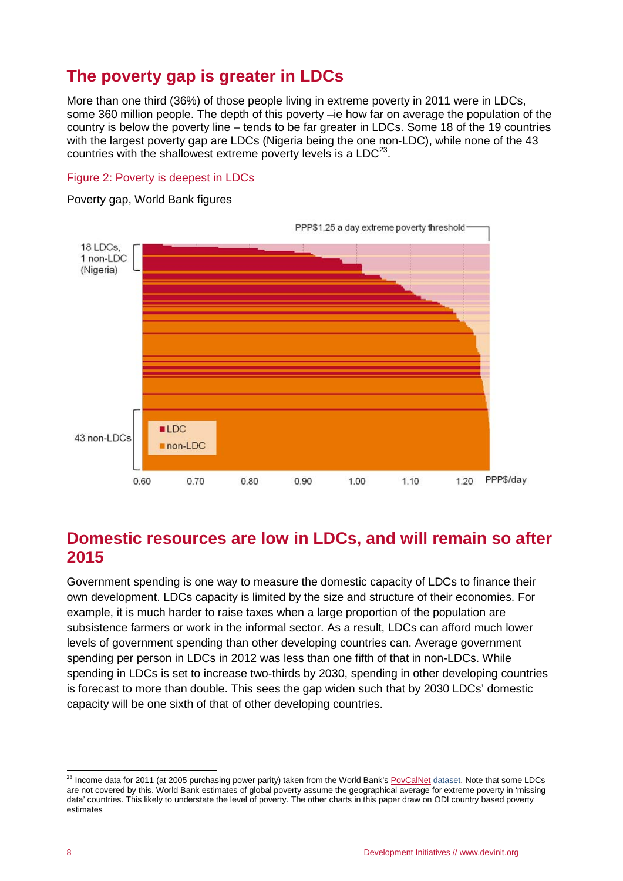# <span id="page-7-0"></span>**The poverty gap is greater in LDCs**

More than one third (36%) of those people living in extreme poverty in 2011 were in LDCs, some 360 million people. The depth of this poverty –ie how far on average the population of the country is below the poverty line – tends to be far greater in LDCs. Some 18 of the 19 countries with the largest poverty gap are LDCs (Nigeria being the one non-LDC), while none of the 43 countries with the shallowest extreme poverty levels is a  $LDC<sup>23</sup>$  $LDC<sup>23</sup>$  $LDC<sup>23</sup>$ .

### Figure 2: Poverty is deepest in LDCs

Poverty gap, World Bank figures



### <span id="page-7-1"></span>**Domestic resources are low in LDCs, and will remain so after 2015**

Government spending is one way to measure the domestic capacity of LDCs to finance their own development. LDCs capacity is limited by the size and structure of their economies. For example, it is much harder to raise taxes when a large proportion of the population are subsistence farmers or work in the informal sector. As a result, LDCs can afford much lower levels of government spending than other developing countries can. Average government spending per person in LDCs in 2012 was less than one fifth of that in non-LDCs. While spending in LDCs is set to increase two-thirds by 2030, spending in other developing countries is forecast to more than double. This sees the gap widen such that by 2030 LDCs' domestic capacity will be one sixth of that of other developing countries.

<span id="page-7-2"></span><sup>&</sup>lt;sup>23</sup> Income data for 2011 (at 2005 purchasing power parity) taken from the World Bank's **PovCalNet** dataset. Note that some LDCs are not covered by this. World Bank estimates of global poverty assume the geographical average for extreme poverty in 'missing data' countries. This likely to understate the level of poverty. The other charts in this paper draw on ODI country based poverty estimates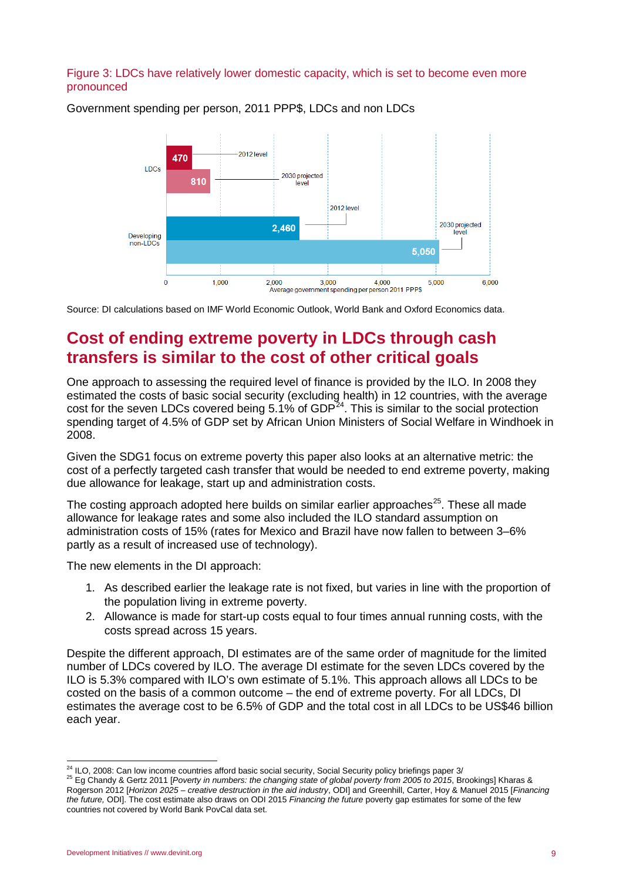#### Figure 3: LDCs have relatively lower domestic capacity, which is set to become even more pronounced



Government spending per person, 2011 PPP\$, LDCs and non LDCs

Source: DI calculations based on IMF World Economic Outlook, World Bank and Oxford Economics data.

### <span id="page-8-0"></span>**Cost of ending extreme poverty in LDCs through cash transfers is similar to the cost of other critical goals**

One approach to assessing the required level of finance is provided by the ILO. In 2008 they estimated the costs of basic social security (excluding health) in 12 countries, with the average cost for the seven LDCs covered being 5.1% of GDP<sup>24</sup>. This is similar to the social protection spending target of 4.5% of GDP set by African Union Ministers of Social Welfare in Windhoek in 2008.

Given the SDG1 focus on extreme poverty this paper also looks at an alternative metric: the cost of a perfectly targeted cash transfer that would be needed to end extreme poverty, making due allowance for leakage, start up and administration costs.

The costing approach adopted here builds on similar earlier approaches<sup>25</sup>. These all made allowance for leakage rates and some also included the ILO standard assumption on administration costs of 15% (rates for Mexico and Brazil have now fallen to between 3–6% partly as a result of increased use of technology).

The new elements in the DI approach:

- 1. As described earlier the leakage rate is not fixed, but varies in line with the proportion of the population living in extreme poverty.
- 2. Allowance is made for start-up costs equal to four times annual running costs, with the costs spread across 15 years.

Despite the different approach, DI estimates are of the same order of magnitude for the limited number of LDCs covered by ILO. The average DI estimate for the seven LDCs covered by the ILO is 5.3% compared with ILO's own estimate of 5.1%. This approach allows all LDCs to be costed on the basis of a common outcome – the end of extreme poverty. For all LDCs, DI estimates the average cost to be 6.5% of GDP and the total cost in all LDCs to be US\$46 billion each year.

<span id="page-8-2"></span><span id="page-8-1"></span><sup>&</sup>lt;sup>24</sup> ILO, 2008: Can low income countries afford basic social security, Social Security policy briefings paper 3/<br><sup>25</sup> Eg Chandy & Gertz 2011 [*Poverty in numbers: the changing state of global poverty from 2005 to 2015*, B Rogerson 2012 [*Horizon 2025 – creative destruction in the aid industry*, ODI] and Greenhill, Carter, Hoy & Manuel 2015 [*Financing the future,* ODI]. The cost estimate also draws on ODI 2015 *Financing the future* poverty gap estimates for some of the few countries not covered by World Bank PovCal data set.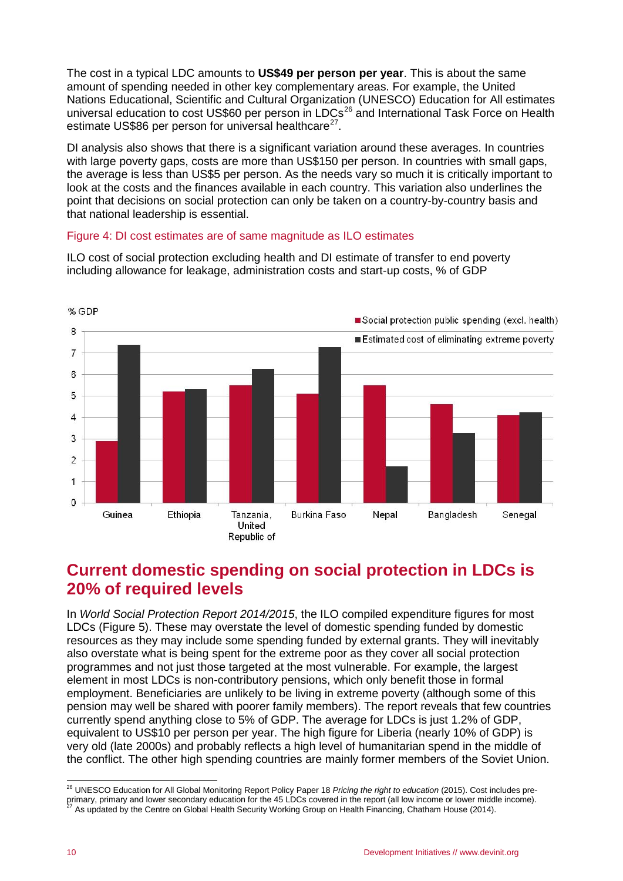The cost in a typical LDC amounts to **US\$49 per person per year**. This is about the same amount of spending needed in other key complementary areas. For example, the United Nations Educational, Scientific and Cultural Organization (UNESCO) Education for All estimates universal education to cost US\$60 per person in LDCs<sup>[26](#page-9-1)</sup> and International Task Force on Health estimate US\$86 per person for universal healthcare<sup>[27](#page-9-2)</sup>.

DI analysis also shows that there is a significant variation around these averages. In countries with large poverty gaps, costs are more than US\$150 per person. In countries with small gaps, the average is less than US\$5 per person. As the needs vary so much it is critically important to look at the costs and the finances available in each country. This variation also underlines the point that decisions on social protection can only be taken on a country-by-country basis and that national leadership is essential.

#### Figure 4: DI cost estimates are of same magnitude as ILO estimates

ILO cost of social protection excluding health and DI estimate of transfer to end poverty including allowance for leakage, administration costs and start-up costs, % of GDP



### <span id="page-9-0"></span>**Current domestic spending on social protection in LDCs is 20% of required levels**

In *World Social Protection Report 2014/2015*, the ILO compiled expenditure figures for most LDCs (Figure 5). These may overstate the level of domestic spending funded by domestic resources as they may include some spending funded by external grants. They will inevitably also overstate what is being spent for the extreme poor as they cover all social protection programmes and not just those targeted at the most vulnerable. For example, the largest element in most LDCs is non-contributory pensions, which only benefit those in formal employment. Beneficiaries are unlikely to be living in extreme poverty (although some of this pension may well be shared with poorer family members). The report reveals that few countries currently spend anything close to 5% of GDP. The average for LDCs is just 1.2% of GDP, equivalent to US\$10 per person per year. The high figure for Liberia (nearly 10% of GDP) is very old (late 2000s) and probably reflects a high level of humanitarian spend in the middle of the conflict. The other high spending countries are mainly former members of the Soviet Union.

<span id="page-9-2"></span><span id="page-9-1"></span> <sup>26</sup> UNESCO Education for All Global Monitoring Report Policy Paper 18 *Pricing the right to education* (2015). Cost includes preprimary, primary and lower secondary education for the 45 LDCs covered in the report (all low income or lower middle income). 27 As updated by the Centre on Global Health Security Working Group on Health Financing, Chatham House (2014).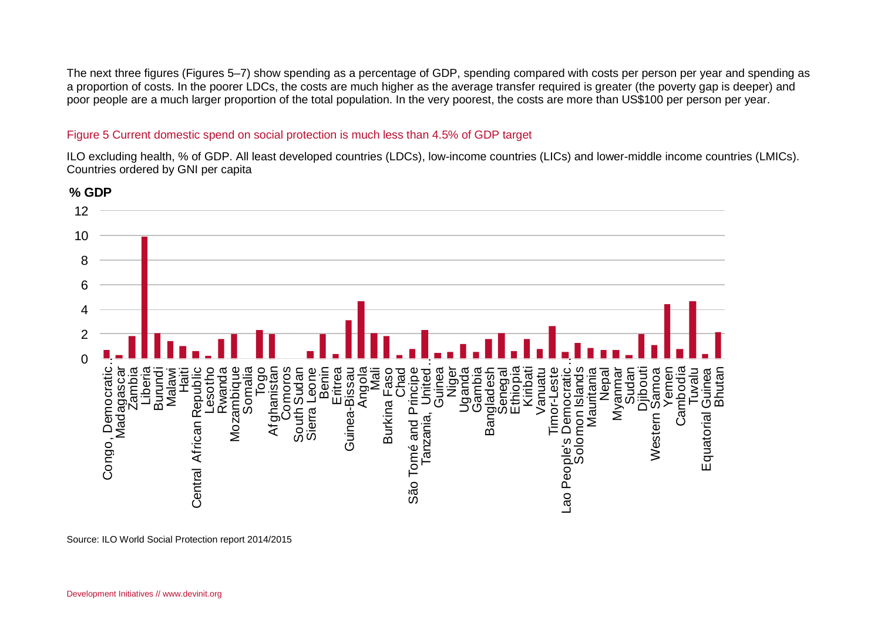The next three figures (Figures 5–7) show spending as a percentage of GDP, spending compared with costs per person per year and spending as a proportion of costs. In the poorer LDCs, the costs are much higher as the average transfer required is greater (the poverty gap is deeper) and poor people are a much larger proportion of the total population. In the very poorest, the costs are more than US\$100 per person per year.

#### Figure 5 Current domestic spend on social protection is much less than 4.5% of GDP target

ILO excluding health, % of GDP. All least developed countries (LDCs), low-income countries (LICs) and lower-middle income countries (LMICs). Countries ordered by GNI per capita



Source: ILO World Social Protection report 2014/2015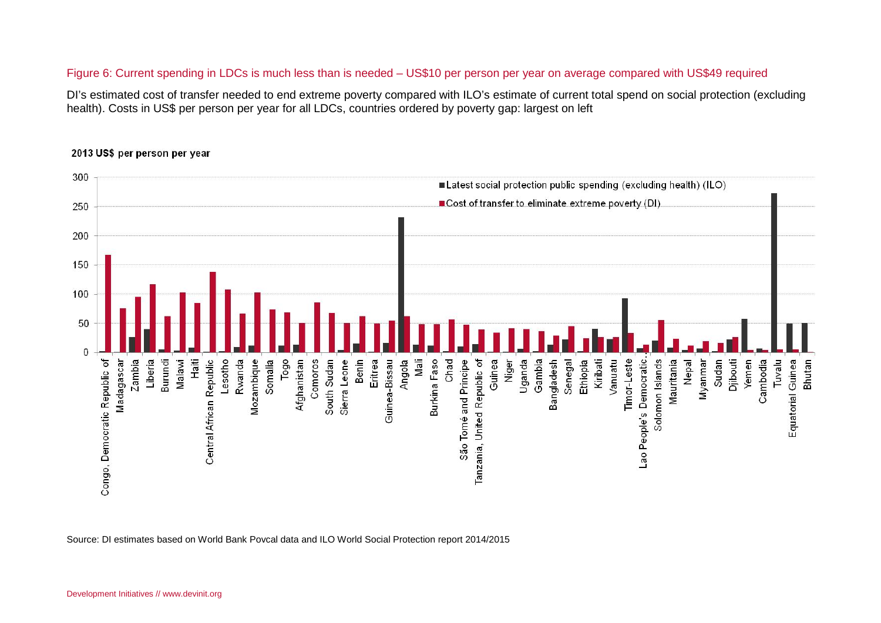#### Figure 6: Current spending in LDCs is much less than is needed – US\$10 per person per year on average compared with US\$49 required

DI's estimated cost of transfer needed to end extreme poverty compared with ILO's estimate of current total spend on social protection (excluding health). Costs in US\$ per person per year for all LDCs, countries ordered by poverty gap: largest on left



#### 2013 US\$ per person per year

Source: DI estimates based on World Bank Povcal data and ILO World Social Protection report 2014/2015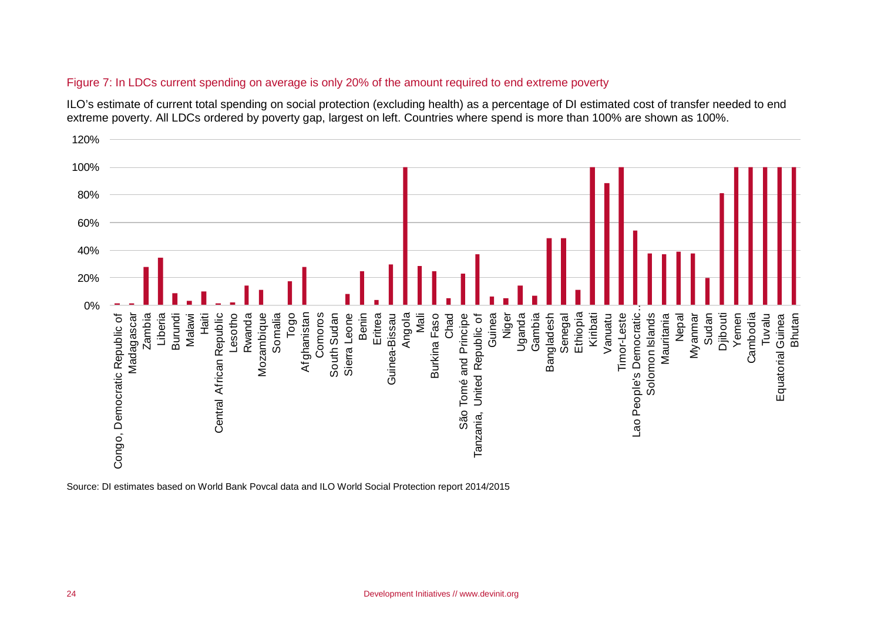#### Figure 7: In LDCs current spending on average is only 20% of the amount required to end extreme poverty

ILO's estimate of current total spending on social protection (excluding health) as a percentage of DI estimated cost of transfer needed to end extreme poverty. All LDCs ordered by poverty gap, largest on left. Countries where spend is more than 100% are shown as 100%.



Source: DI estimates based on World Bank Povcal data and ILO World Social Protection report 2014/2015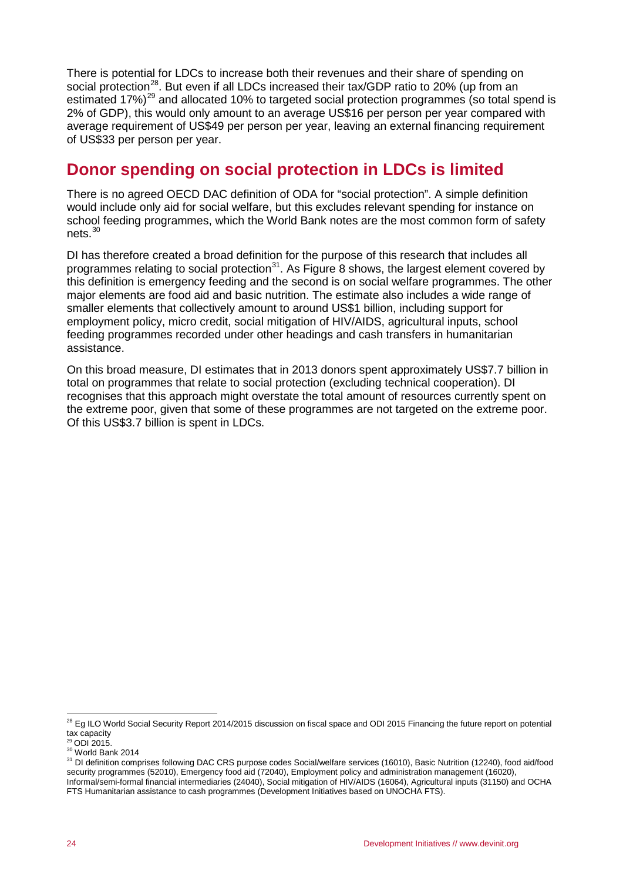There is potential for LDCs to increase both their revenues and their share of spending on social protection<sup>28</sup>. But even if all LDCs increased their tax/GDP ratio to 20% (up from an estimated 17%)<sup>[29](#page-13-2)</sup> and allocated 10% to targeted social protection programmes (so total spend is 2% of GDP), this would only amount to an average US\$16 per person per year compared with average requirement of US\$49 per person per year, leaving an external financing requirement of US\$33 per person per year.

# <span id="page-13-0"></span>**Donor spending on social protection in LDCs is limited**

There is no agreed OECD DAC definition of ODA for "social protection". A simple definition would include only aid for social welfare, but this excludes relevant spending for instance on school feeding programmes, which the World Bank notes are the most common form of safety nets.[30](#page-13-3)

DI has therefore created a broad definition for the purpose of this research that includes all programmes relating to social protection<sup>31</sup>. As Figure 8 shows, the largest element covered by this definition is emergency feeding and the second is on social welfare programmes. The other major elements are food aid and basic nutrition. The estimate also includes a wide range of smaller elements that collectively amount to around US\$1 billion, including support for employment policy, micro credit, social mitigation of HIV/AIDS, agricultural inputs, school feeding programmes recorded under other headings and cash transfers in humanitarian assistance.

On this broad measure, DI estimates that in 2013 donors spent approximately US\$7.7 billion in total on programmes that relate to social protection (excluding technical cooperation). DI recognises that this approach might overstate the total amount of resources currently spent on the extreme poor, given that some of these programmes are not targeted on the extreme poor. Of this US\$3.7 billion is spent in LDCs.

<span id="page-13-1"></span><sup>&</sup>lt;sup>28</sup> Eg ILO World Social Security Report 2014/2015 discussion on fiscal space and ODI 2015 Financing the future report on potential tax capacity

<span id="page-13-2"></span>

<span id="page-13-4"></span><span id="page-13-3"></span><sup>30</sup> ODI 2015.<br><sup>30</sup> World Bank 2014<br><sup>31</sup> DI definition comprises following DAC CRS purpose codes Social/welfare services (16010), Basic Nutrition (12240), food aid/food security programmes (52010), Emergency food aid (72040), Employment policy and administration management (16020), Informal/semi-formal financial intermediaries (24040), Social mitigation of HIV/AIDS (16064), Agricultural inputs (31150) and OCHA FTS Humanitarian assistance to cash programmes (Development Initiatives based on UNOCHA FTS).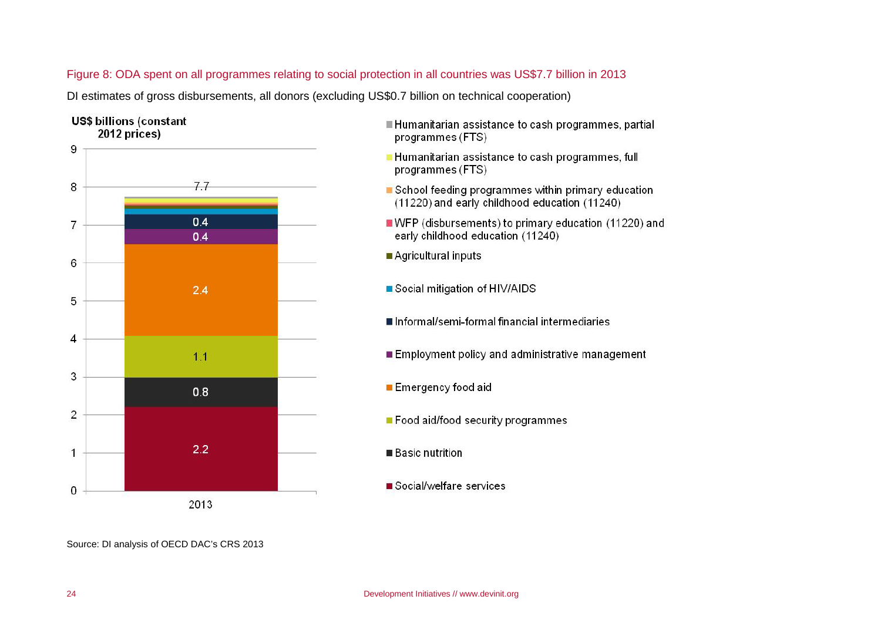#### Figure 8: ODA spent on all programmes relating to social protection in all countries was US\$7.7 billion in 2013

DI estimates of gross disbursements, all donors (excluding US\$0.7 billion on technical cooperation)



- Humanitarian assistance to cash programmes, partial programmes (FTS)
- Humanitarian assistance to cash programmes, full programmes (FTS)
- School feeding programmes within primary education (11220) and early childhood education (11240)
- WFP (disbursements) to primary education (11220) and early childhood education (11240)
- Agricultural inputs
- Social mitigation of HIV/AIDS
- Informal/semi-formal financial intermediaries
- Employment policy and administrative management
- Emergency food aid
- Food aid/food security programmes
- **Basic nutrition**
- Social/welfare services

Source: DI analysis of OECD DAC's CRS 2013

 $2.2$ 

2013

 $\overline{1}$ 

 $\mathbf 0$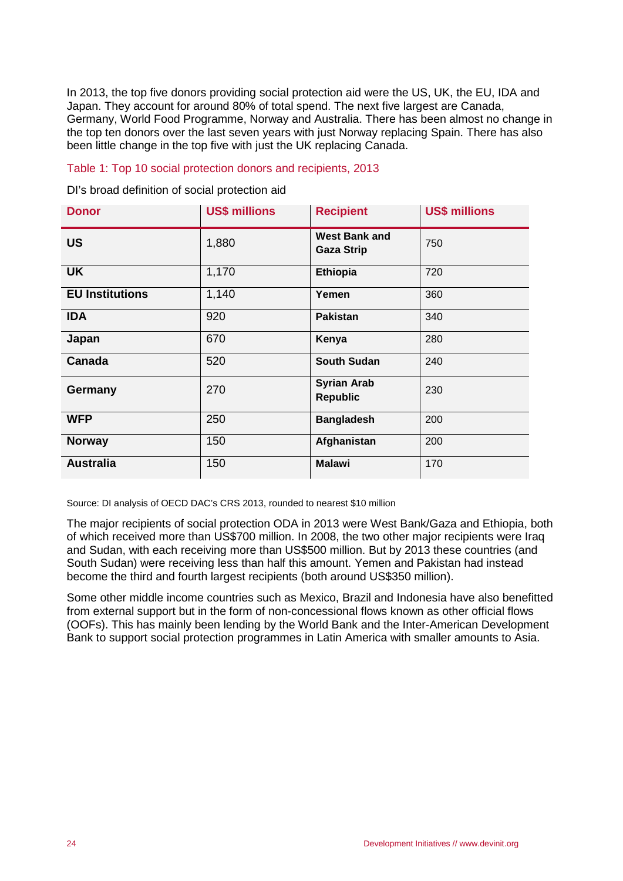In 2013, the top five donors providing social protection aid were the US, UK, the EU, IDA and Japan. They account for around 80% of total spend. The next five largest are Canada, Germany, World Food Programme, Norway and Australia. There has been almost no change in the top ten donors over the last seven years with just Norway replacing Spain. There has also been little change in the top five with just the UK replacing Canada.

#### Table 1: Top 10 social protection donors and recipients, 2013

DI's broad definition of social protection aid

| <b>Donor</b>           | <b>US\$ millions</b> | <b>Recipient</b>                          | <b>US\$ millions</b> |
|------------------------|----------------------|-------------------------------------------|----------------------|
| <b>US</b>              | 1,880                | <b>West Bank and</b><br><b>Gaza Strip</b> | 750                  |
| <b>UK</b>              | 1,170                | <b>Ethiopia</b>                           | 720                  |
| <b>EU Institutions</b> | 1,140                | Yemen                                     | 360                  |
| <b>IDA</b>             | 920                  | <b>Pakistan</b>                           | 340                  |
| Japan                  | 670                  | Kenya                                     | 280                  |
| Canada                 | 520                  | <b>South Sudan</b>                        | 240                  |
| <b>Germany</b>         | 270                  | <b>Syrian Arab</b><br><b>Republic</b>     | 230                  |
| <b>WFP</b>             | 250                  | <b>Bangladesh</b>                         | 200                  |
| <b>Norway</b>          | 150                  | Afghanistan                               | 200                  |
| <b>Australia</b>       | 150                  | <b>Malawi</b>                             | 170                  |

Source: DI analysis of OECD DAC's CRS 2013, rounded to nearest \$10 million

The major recipients of social protection ODA in 2013 were West Bank/Gaza and Ethiopia, both of which received more than US\$700 million. In 2008, the two other major recipients were Iraq and Sudan, with each receiving more than US\$500 million. But by 2013 these countries (and South Sudan) were receiving less than half this amount. Yemen and Pakistan had instead become the third and fourth largest recipients (both around US\$350 million).

Some other middle income countries such as Mexico, Brazil and Indonesia have also benefitted from external support but in the form of non-concessional flows known as other official flows (OOFs). This has mainly been lending by the World Bank and the Inter-American Development Bank to support social protection programmes in Latin America with smaller amounts to Asia.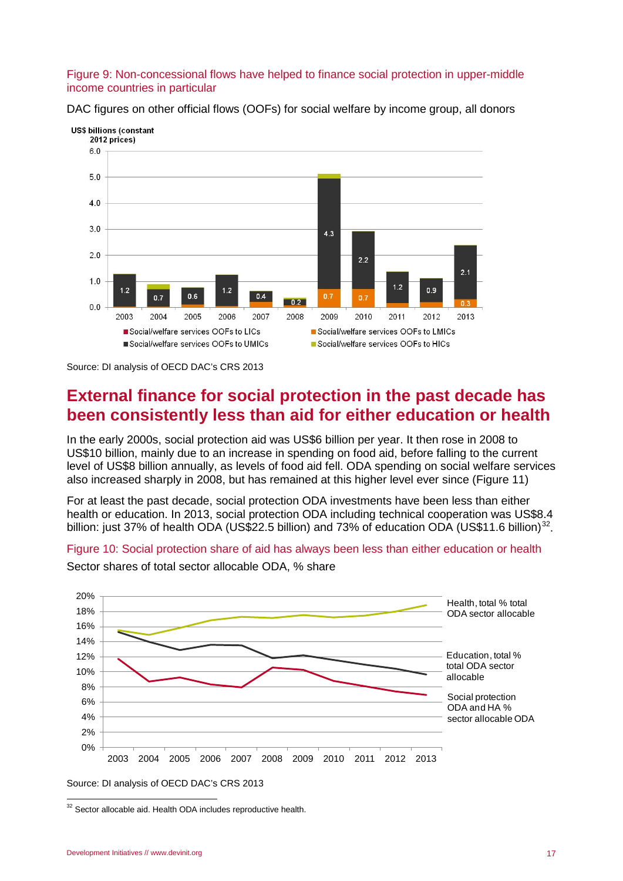#### Figure 9: Non-concessional flows have helped to finance social protection in upper-middle income countries in particular



DAC figures on other official flows (OOFs) for social welfare by income group, all donors

Source: DI analysis of OECD DAC's CRS 2013

### <span id="page-16-0"></span>**External finance for social protection in the past decade has been consistently less than aid for either education or health**

In the early 2000s, social protection aid was US\$6 billion per year. It then rose in 2008 to US\$10 billion, mainly due to an increase in spending on food aid, before falling to the current level of US\$8 billion annually, as levels of food aid fell. ODA spending on social welfare services also increased sharply in 2008, but has remained at this higher level ever since (Figure 11)

For at least the past decade, social protection ODA investments have been less than either health or education. In 2013, social protection ODA including technical cooperation was US\$8.4 billion: just 37% of health ODA (US\$22.5 billion) and 73% of education ODA (US\$11.6 billion)<sup>32</sup>.

Figure 10: Social protection share of aid has always been less than either education or health



Sector shares of total sector allocable ODA, % share

<span id="page-16-1"></span><sup>&</sup>lt;sup>32</sup> Sector allocable aid. Health ODA includes reproductive health.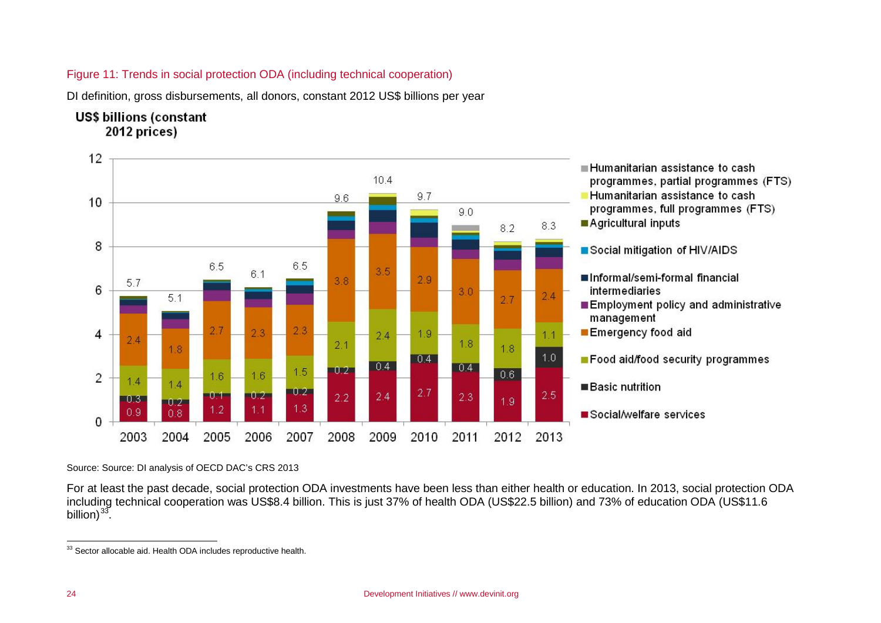#### <span id="page-17-0"></span>Figure 11: Trends in social protection ODA (including technical cooperation)

DI definition, gross disbursements, all donors, constant 2012 US\$ billions per year

### **US\$ billions (constant** 2012 prices)



Source: Source: DI analysis of OECD DAC's CRS 2013

For at least the past decade, social protection ODA investments have been less than either health or education. In 2013, social protection ODA including technical cooperation was US\$8.4 billion. This is just 37% of health ODA (US\$22.5 billion) and 73% of education ODA (US\$11.6 billion) $33$ .

<sup>&</sup>lt;sup>33</sup> Sector allocable aid. Health ODA includes reproductive health.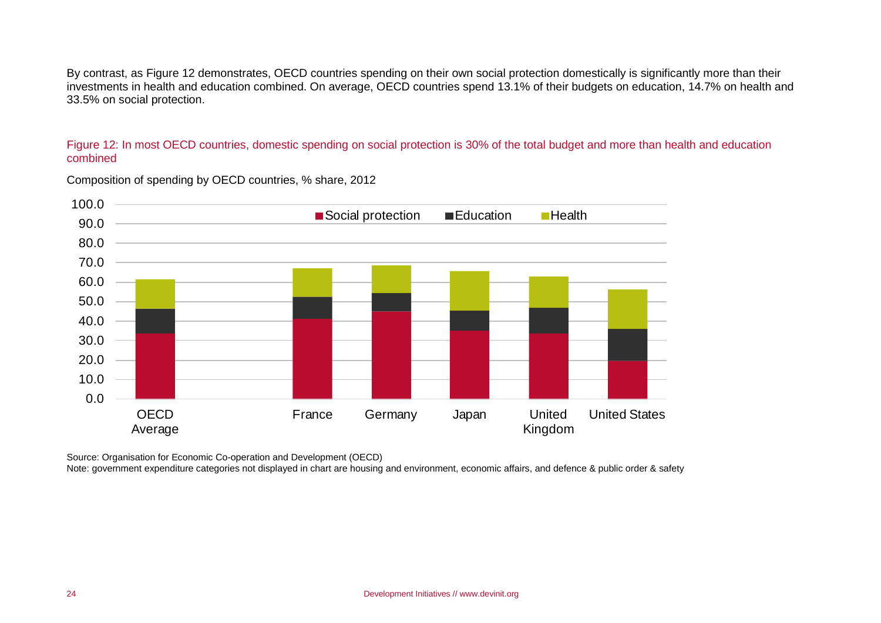By contrast, as Figure 12 demonstrates, OECD countries spending on their own social protection domestically is significantly more than their investments in health and education combined. On average, OECD countries spend 13.1% of their budgets on education, 14.7% on health and 33.5% on social protection.

#### Figure 12: In most OECD countries, domestic spending on social protection is 30% of the total budget and more than health and education combined



Composition of spending by OECD countries, % share, 2012

Source: Organisation for Economic Co-operation and Development (OECD)

Note: government expenditure categories not displayed in chart are housing and environment, economic affairs, and defence & public order & safety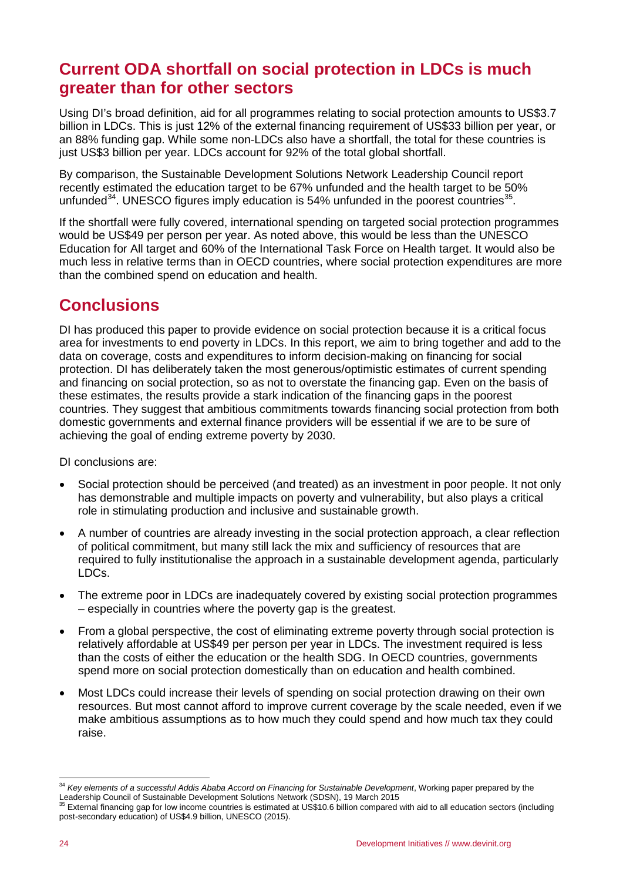# <span id="page-19-0"></span>**Current ODA shortfall on social protection in LDCs is much greater than for other sectors**

Using DI's broad definition, aid for all programmes relating to social protection amounts to US\$3.7 billion in LDCs. This is just 12% of the external financing requirement of US\$33 billion per year, or an 88% funding gap. While some non-LDCs also have a shortfall, the total for these countries is just US\$3 billion per year. LDCs account for 92% of the total global shortfall.

By comparison, the Sustainable Development Solutions Network Leadership Council report recently estimated the education target to be 67% unfunded and the health target to be 50% unfunded $34$ . UNESCO figures imply education is 54% unfunded in the poorest countries $35$ .

If the shortfall were fully covered, international spending on targeted social protection programmes would be US\$49 per person per year. As noted above, this would be less than the UNESCO Education for All target and 60% of the International Task Force on Health target. It would also be much less in relative terms than in OECD countries, where social protection expenditures are more than the combined spend on education and health.

### <span id="page-19-1"></span>**Conclusions**

DI has produced this paper to provide evidence on social protection because it is a critical focus area for investments to end poverty in LDCs. In this report, we aim to bring together and add to the data on coverage, costs and expenditures to inform decision-making on financing for social protection. DI has deliberately taken the most generous/optimistic estimates of current spending and financing on social protection, so as not to overstate the financing gap. Even on the basis of these estimates, the results provide a stark indication of the financing gaps in the poorest countries. They suggest that ambitious commitments towards financing social protection from both domestic governments and external finance providers will be essential if we are to be sure of achieving the goal of ending extreme poverty by 2030.

DI conclusions are:

- Social protection should be perceived (and treated) as an investment in poor people. It not only has demonstrable and multiple impacts on poverty and vulnerability, but also plays a critical role in stimulating production and inclusive and sustainable growth.
- A number of countries are already investing in the social protection approach, a clear reflection of political commitment, but many still lack the mix and sufficiency of resources that are required to fully institutionalise the approach in a sustainable development agenda, particularly LDCs.
- The extreme poor in LDCs are inadequately covered by existing social protection programmes – especially in countries where the poverty gap is the greatest.
- From a global perspective, the cost of eliminating extreme poverty through social protection is relatively affordable at US\$49 per person per year in LDCs. The investment required is less than the costs of either the education or the health SDG. In OECD countries, governments spend more on social protection domestically than on education and health combined.
- Most LDCs could increase their levels of spending on social protection drawing on their own resources. But most cannot afford to improve current coverage by the scale needed, even if we make ambitious assumptions as to how much they could spend and how much tax they could raise.

<span id="page-19-2"></span> <sup>34</sup> *Key elements of a successful Addis Ababa Accord on Financing for Sustainable Development*, Working paper prepared by the Leadership Council of Sustainable Development Solutions Network (SDSN), 19 March 2015

<span id="page-19-3"></span><sup>35</sup> External financing gap for low income countries is estimated at US\$10.6 billion compared with aid to all education sectors (including post-secondary education) of US\$4.9 billion, UNESCO (2015).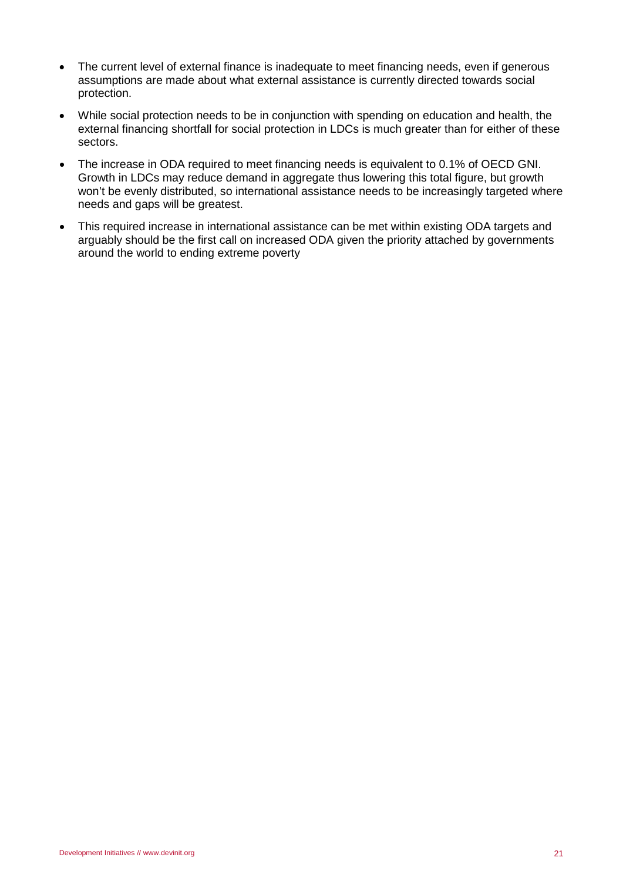- The current level of external finance is inadequate to meet financing needs, even if generous assumptions are made about what external assistance is currently directed towards social protection.
- While social protection needs to be in conjunction with spending on education and health, the external financing shortfall for social protection in LDCs is much greater than for either of these sectors.
- The increase in ODA required to meet financing needs is equivalent to 0.1% of OECD GNI. Growth in LDCs may reduce demand in aggregate thus lowering this total figure, but growth won't be evenly distributed, so international assistance needs to be increasingly targeted where needs and gaps will be greatest.
- This required increase in international assistance can be met within existing ODA targets and arguably should be the first call on increased ODA given the priority attached by governments around the world to ending extreme poverty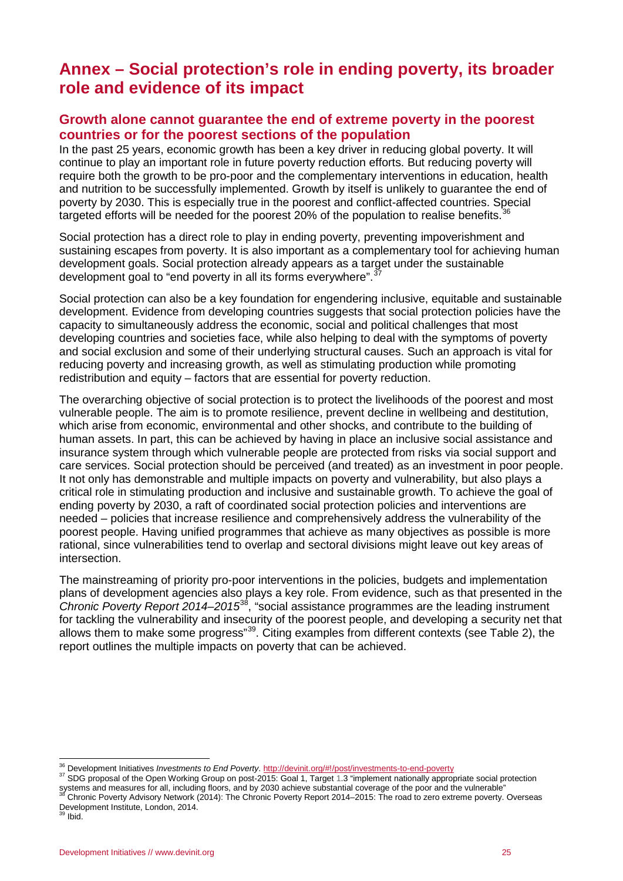### <span id="page-21-0"></span>**Annex – Social protection's role in ending poverty, its broader role and evidence of its impact**

### <span id="page-21-1"></span>**Growth alone cannot guarantee the end of extreme poverty in the poorest countries or for the poorest sections of the population**

In the past 25 years, economic growth has been a key driver in reducing global poverty. It will continue to play an important role in future poverty reduction efforts. But reducing poverty will require both the growth to be pro-poor and the complementary interventions in education, health and nutrition to be successfully implemented. Growth by itself is unlikely to guarantee the end of poverty by 2030. This is especially true in the poorest and conflict-affected countries. Special targeted efforts will be needed for the poorest 20% of the population to realise benefits.<sup>[36](#page-21-2)</sup>

Social protection has a direct role to play in ending poverty, preventing impoverishment and sustaining escapes from poverty. It is also important as a complementary tool for achieving human development goals. Social protection already appears as a target under the sustainable development goal to "end poverty in all its forms everywhere".

Social protection can also be a key foundation for engendering inclusive, equitable and sustainable development. Evidence from developing countries suggests that social protection policies have the capacity to simultaneously address the economic, social and political challenges that most developing countries and societies face, while also helping to deal with the symptoms of poverty and social exclusion and some of their underlying structural causes. Such an approach is vital for reducing poverty and increasing growth, as well as stimulating production while promoting redistribution and equity – factors that are essential for poverty reduction.

The overarching objective of social protection is to protect the livelihoods of the poorest and most vulnerable people. The aim is to promote resilience, prevent decline in wellbeing and destitution, which arise from economic, environmental and other shocks, and contribute to the building of human assets. In part, this can be achieved by having in place an inclusive social assistance and insurance system through which vulnerable people are protected from risks via social support and care services. Social protection should be perceived (and treated) as an investment in poor people. It not only has demonstrable and multiple impacts on poverty and vulnerability, but also plays a critical role in stimulating production and inclusive and sustainable growth. To achieve the goal of ending poverty by 2030, a raft of coordinated social protection policies and interventions are needed – policies that increase resilience and comprehensively address the vulnerability of the poorest people. Having unified programmes that achieve as many objectives as possible is more rational, since vulnerabilities tend to overlap and sectoral divisions might leave out key areas of intersection.

The mainstreaming of priority pro-poor interventions in the policies, budgets and implementation plans of development agencies also plays a key role. From evidence, such as that presented in the *Chronic Poverty Report 2014–2015*[38](#page-21-4), "social assistance programmes are the leading instrument for tackling the vulnerability and insecurity of the poorest people, and developing a security net that allows them to make some progress"<sup>39</sup>. Citing examples from different contexts (see Table 2), the report outlines the multiple impacts on poverty that can be achieved.

<span id="page-21-3"></span><span id="page-21-2"></span>

<sup>&</sup>lt;sup>36</sup> Development Initiatives *Investments to End Poverty.* http://devinit.org/#!/post/investments-to-end-poverty<br><sup>37</sup> SDG proposal of the Open Working Group on post-2015: Goal 1, Target 1.3 "implement nationally appropriat Systems and measures for all, including floors, and by 2030 achieve substantial coverage of the poor and the vulnerable"<br><sup>36</sup> Chronic Poverty Advisory Network (2014): The Chronic Poverty Report 2014–2015: The road to zero

<span id="page-21-4"></span>Development Institute, London, 2014. <sup>39</sup> Ibid.

<span id="page-21-5"></span>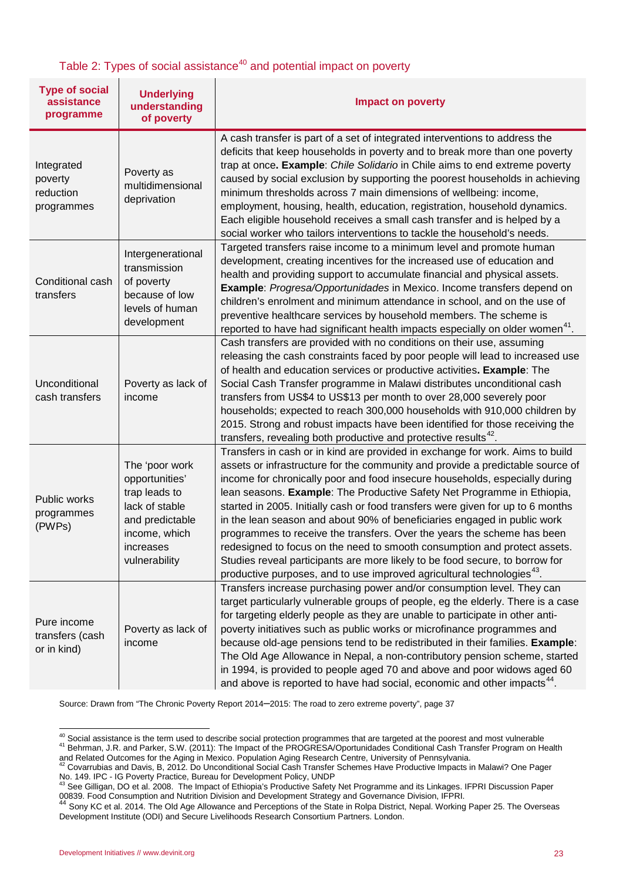### Table 2: Types of social assistance<sup>[40](#page-22-0)</sup> and potential impact on poverty

| <b>Type of social</b><br>assistance<br>programme | <b>Underlying</b><br>understanding<br>of poverty                                                                                      | <b>Impact on poverty</b>                                                                                                                                                                                                                                                                                                                                                                                                                                                                                                                                                                                                                                                                                                                                                                                                                                                                                                                                                                                                                                                                                                                                                                             |  |  |
|--------------------------------------------------|---------------------------------------------------------------------------------------------------------------------------------------|------------------------------------------------------------------------------------------------------------------------------------------------------------------------------------------------------------------------------------------------------------------------------------------------------------------------------------------------------------------------------------------------------------------------------------------------------------------------------------------------------------------------------------------------------------------------------------------------------------------------------------------------------------------------------------------------------------------------------------------------------------------------------------------------------------------------------------------------------------------------------------------------------------------------------------------------------------------------------------------------------------------------------------------------------------------------------------------------------------------------------------------------------------------------------------------------------|--|--|
| Integrated<br>poverty<br>reduction<br>programmes | Poverty as<br>multidimensional<br>deprivation                                                                                         | A cash transfer is part of a set of integrated interventions to address the<br>deficits that keep households in poverty and to break more than one poverty<br>trap at once. Example: Chile Solidario in Chile aims to end extreme poverty<br>caused by social exclusion by supporting the poorest households in achieving<br>minimum thresholds across 7 main dimensions of wellbeing: income,<br>employment, housing, health, education, registration, household dynamics.<br>Each eligible household receives a small cash transfer and is helped by a<br>social worker who tailors interventions to tackle the household's needs.<br>Targeted transfers raise income to a minimum level and promote human<br>development, creating incentives for the increased use of education and<br>health and providing support to accumulate financial and physical assets.<br><b>Example:</b> Progresa/Opportunidades in Mexico. Income transfers depend on<br>children's enrolment and minimum attendance in school, and on the use of<br>preventive healthcare services by household members. The scheme is<br>reported to have had significant health impacts especially on older women <sup>41</sup> . |  |  |
| Conditional cash<br>transfers                    | Intergenerational<br>transmission<br>of poverty<br>because of low<br>levels of human<br>development                                   |                                                                                                                                                                                                                                                                                                                                                                                                                                                                                                                                                                                                                                                                                                                                                                                                                                                                                                                                                                                                                                                                                                                                                                                                      |  |  |
| Unconditional<br>cash transfers                  | Poverty as lack of<br>income                                                                                                          | Cash transfers are provided with no conditions on their use, assuming<br>releasing the cash constraints faced by poor people will lead to increased use<br>of health and education services or productive activities. Example: The<br>Social Cash Transfer programme in Malawi distributes unconditional cash<br>transfers from US\$4 to US\$13 per month to over 28,000 severely poor<br>households; expected to reach 300,000 households with 910,000 children by<br>2015. Strong and robust impacts have been identified for those receiving the<br>transfers, revealing both productive and protective results <sup>42</sup> .                                                                                                                                                                                                                                                                                                                                                                                                                                                                                                                                                                   |  |  |
| Public works<br>programmes<br>(PWPs)             | The 'poor work<br>opportunities'<br>trap leads to<br>lack of stable<br>and predictable<br>income, which<br>increases<br>vulnerability | Transfers in cash or in kind are provided in exchange for work. Aims to build<br>assets or infrastructure for the community and provide a predictable source of<br>income for chronically poor and food insecure households, especially during<br>lean seasons. Example: The Productive Safety Net Programme in Ethiopia,<br>started in 2005. Initially cash or food transfers were given for up to 6 months<br>in the lean season and about 90% of beneficiaries engaged in public work<br>programmes to receive the transfers. Over the years the scheme has been<br>redesigned to focus on the need to smooth consumption and protect assets.<br>Studies reveal participants are more likely to be food secure, to borrow for<br>productive purposes, and to use improved agricultural technologies <sup>43</sup> .                                                                                                                                                                                                                                                                                                                                                                               |  |  |
| Pure income<br>transfers (cash<br>or in kind)    | Poverty as lack of<br>income                                                                                                          | Transfers increase purchasing power and/or consumption level. They can<br>target particularly vulnerable groups of people, eg the elderly. There is a case<br>for targeting elderly people as they are unable to participate in other anti-<br>poverty initiatives such as public works or microfinance programmes and<br>because old-age pensions tend to be redistributed in their families. Example:<br>The Old Age Allowance in Nepal, a non-contributory pension scheme, started<br>in 1994, is provided to people aged 70 and above and poor widows aged 60<br>and above is reported to have had social, economic and other impacts <sup>44</sup> .                                                                                                                                                                                                                                                                                                                                                                                                                                                                                                                                            |  |  |

Source: Drawn from "The Chronic Poverty Report 2014–2015: The road to zero extreme poverty", page 37

 $^{40}$  Social assistance is the term used to describe social protection programmes that are targeted at the poorest and most vulnerable  $^{41}$  Behrman, J.R. and Parker, S.W. (2011): The Impact of the PROGRESA/Oportunidade

<span id="page-22-2"></span><span id="page-22-1"></span><span id="page-22-0"></span>and Related Outcomes for the Aging in Mexico. Population Aging Research Centre, University of Pennsylvania.<br><sup>42</sup> Covarrubias and Davis, B, 2012. Do Unconditional Social Cash Transfer Schemes Have Productive Impacts in Mala

<span id="page-22-3"></span>No. 149. IPC - IG Poverty Practice, Bureau for Development Policy, UNDP<br>As See Gilligan, DO et al. 2008. The Impact of Ethiopia's Productive Safety Net Programme and its Linkages. IFPRI Discussion Paper<br><sup>43</sup> See Gilligan, 00839. Food Consumption and Nutrition Division and Development Strategy and Governance Division, IFPRI.<br>44 Development Strategy and Governance Division, IFPRI.

<span id="page-22-4"></span><sup>44</sup> Sony KC et al. 2014. The Old Age Allowance and Perceptions of the State in Rolpa District, Nepal. Working Paper 25. The Overseas Development Institute (ODI) and Secure Livelihoods Research Consortium Partners. London.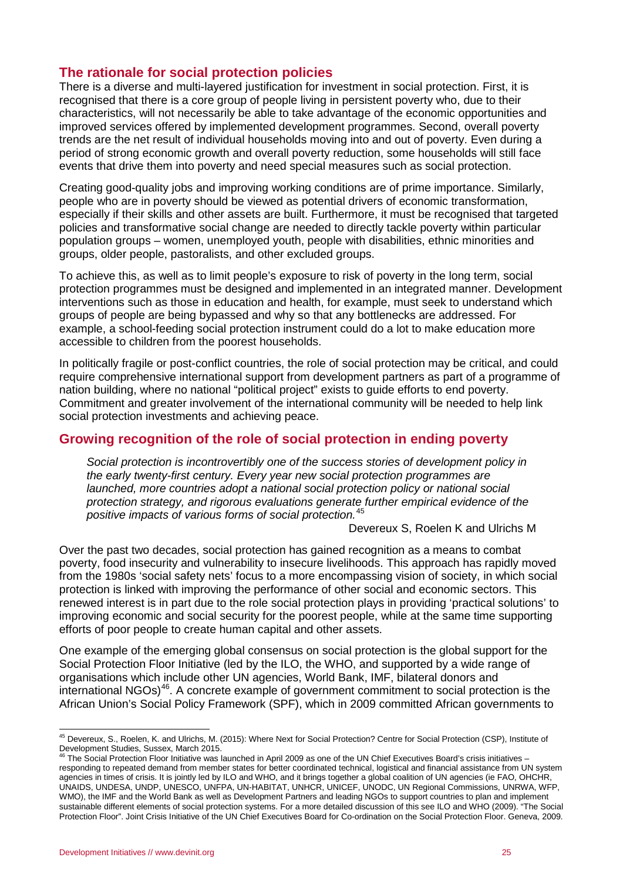### <span id="page-23-0"></span>**The rationale for social protection policies**

There is a diverse and multi-layered justification for investment in social protection. First, it is recognised that there is a core group of people living in persistent poverty who, due to their characteristics, will not necessarily be able to take advantage of the economic opportunities and improved services offered by implemented development programmes. Second, overall poverty trends are the net result of individual households moving into and out of poverty. Even during a period of strong economic growth and overall poverty reduction, some households will still face events that drive them into poverty and need special measures such as social protection.

Creating good-quality jobs and improving working conditions are of prime importance. Similarly, people who are in poverty should be viewed as potential drivers of economic transformation, especially if their skills and other assets are built. Furthermore, it must be recognised that targeted policies and transformative social change are needed to directly tackle poverty within particular population groups – women, unemployed youth, people with disabilities, ethnic minorities and groups, older people, pastoralists, and other excluded groups.

To achieve this, as well as to limit people's exposure to risk of poverty in the long term, social protection programmes must be designed and implemented in an integrated manner. Development interventions such as those in education and health, for example, must seek to understand which groups of people are being bypassed and why so that any bottlenecks are addressed. For example, a school-feeding social protection instrument could do a lot to make education more accessible to children from the poorest households.

In politically fragile or post-conflict countries, the role of social protection may be critical, and could require comprehensive international support from development partners as part of a programme of nation building, where no national "political project" exists to guide efforts to end poverty. Commitment and greater involvement of the international community will be needed to help link social protection investments and achieving peace.

### <span id="page-23-1"></span>**Growing recognition of the role of social protection in ending poverty**

*Social protection is incontrovertibly one of the success stories of development policy in the early twenty-first century. Every year new social protection programmes are launched, more countries adopt a national social protection policy or national social protection strategy, and rigorous evaluations generate further empirical evidence of the positive impacts of various forms of social protection.*[45](#page-23-2)

Devereux S, Roelen K and Ulrichs M

Over the past two decades, social protection has gained recognition as a means to combat poverty, food insecurity and vulnerability to insecure livelihoods. This approach has rapidly moved from the 1980s 'social safety nets' focus to a more encompassing vision of society, in which social protection is linked with improving the performance of other social and economic sectors. This renewed interest is in part due to the role social protection plays in providing 'practical solutions' to improving economic and social security for the poorest people, while at the same time supporting efforts of poor people to create human capital and other assets.

One example of the emerging global consensus on social protection is the global support for the Social Protection Floor Initiative (led by the ILO, the WHO, and supported by a wide range of organisations which include other UN agencies, World Bank, IMF, bilateral donors and international  $NGOs$ <sup>[46](#page-23-3)</sup>. A concrete example of government commitment to social protection is the African Union's Social Policy Framework (SPF), which in 2009 committed African governments to

<span id="page-23-2"></span><sup>45</sup> Devereux, S., Roelen, K. and Ulrichs, M. (2015): Where Next for Social Protection? Centre for Social Protection (CSP), Institute of Development Studies, Sussex, March 2015.

<span id="page-23-3"></span>The Social Protection Floor Initiative was launched in April 2009 as one of the UN Chief Executives Board's crisis initiatives – responding to repeated demand from member states for better coordinated technical, logistical and financial assistance from UN system agencies in times of crisis. It is jointly led by ILO and WHO, and it brings together a global coalition of UN agencies (ie FAO, OHCHR, UNAIDS, UNDESA, UNDP, UNESCO, UNFPA, UN-HABITAT, UNHCR, UNICEF, UNODC, UN Regional Commissions, UNRWA, WFP, WMO), the IMF and the World Bank as well as Development Partners and leading NGOs to support countries to plan and implement sustainable different elements of social protection systems. For a more detailed discussion of this see ILO and WHO (2009). "The Social Protection Floor". Joint Crisis Initiative of the UN Chief Executives Board for Co-ordination on the Social Protection Floor. Geneva, 2009.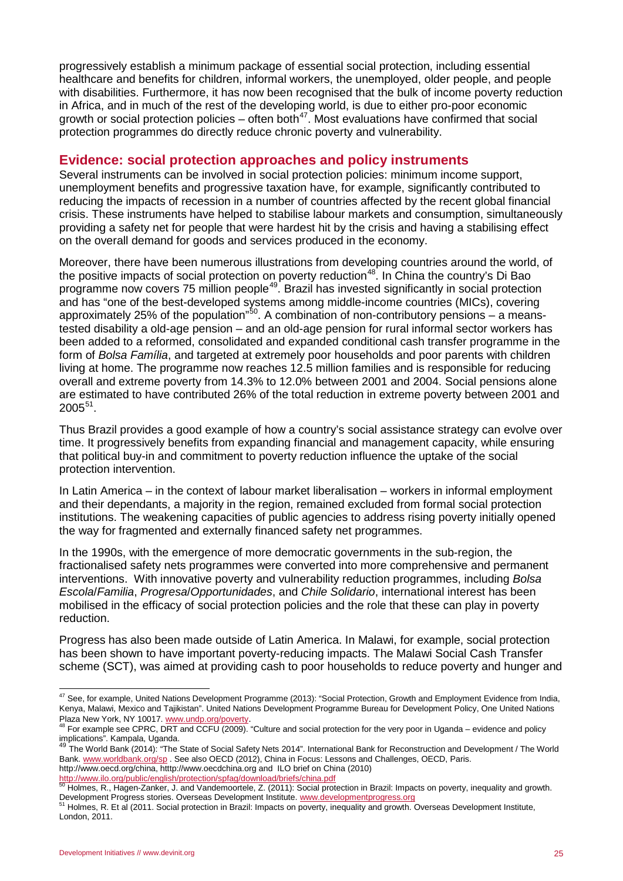progressively establish a minimum package of essential social protection, including essential healthcare and benefits for children, informal workers, the unemployed, older people, and people with disabilities. Furthermore, it has now been recognised that the bulk of income poverty reduction in Africa, and in much of the rest of the developing world, is due to either pro-poor economic growth or social protection policies – often both<sup>[47](#page-24-1)</sup>. Most evaluations have confirmed that social protection programmes do directly reduce chronic poverty and vulnerability.

### <span id="page-24-0"></span>**Evidence: social protection approaches and policy instruments**

Several instruments can be involved in social protection policies: minimum income support, unemployment benefits and progressive taxation have, for example, significantly contributed to reducing the impacts of recession in a number of countries affected by the recent global financial crisis. These instruments have helped to stabilise labour markets and consumption, simultaneously providing a safety net for people that were hardest hit by the crisis and having a stabilising effect on the overall demand for goods and services produced in the economy.

Moreover, there have been numerous illustrations from developing countries around the world, of the positive impacts of social protection on poverty reduction<sup>48</sup>. In China the country's Di Bao programme now covers 75 million people[49](#page-24-3). Brazil has invested significantly in social protection and has "one of the best-developed systems among middle-income countries (MICs), covering approximately 25% of the population"<sup>[50](#page-24-4)</sup>. A combination of non-contributory pensions – a meanstested disability a old-age pension – and an old-age pension for rural informal sector workers has been added to a reformed, consolidated and expanded conditional cash transfer programme in the form of *Bolsa Família*, and targeted at extremely poor households and poor parents with children living at home. The programme now reaches 12.5 million families and is responsible for reducing overall and extreme poverty from 14.3% to 12.0% between 2001 and 2004. Social pensions alone are estimated to have contributed 26% of the total reduction in extreme poverty between 2001 and 2005[51](#page-24-5).

Thus Brazil provides a good example of how a country's social assistance strategy can evolve over time. It progressively benefits from expanding financial and management capacity, while ensuring that political buy-in and commitment to poverty reduction influence the uptake of the social protection intervention.

In Latin America – in the context of labour market liberalisation – workers in informal employment and their dependants, a majority in the region, remained excluded from formal social protection institutions. The weakening capacities of public agencies to address rising poverty initially opened the way for fragmented and externally financed safety net programmes.

In the 1990s, with the emergence of more democratic governments in the sub-region, the fractionalised safety nets programmes were converted into more comprehensive and permanent interventions. With innovative poverty and vulnerability reduction programmes, including *Bolsa Escola*/*Familia*, *Progresa*/*Opportunidades*, and *Chile Solidario*, international interest has been mobilised in the efficacy of social protection policies and the role that these can play in poverty reduction.

Progress has also been made outside of Latin America. In Malawi, for example, social protection has been shown to have important poverty-reducing impacts. The Malawi Social Cash Transfer scheme (SCT), was aimed at providing cash to poor households to reduce poverty and hunger and

<span id="page-24-1"></span><sup>47</sup> See, for example, United Nations Development Programme (2013): "Social Protection, Growth and Employment Evidence from India, Kenya, Malawi, Mexico and Tajikistan". United Nations Development Programme Bureau for Development Policy, One United Nations

<span id="page-24-2"></span>Plaza New York, NY 10017. [www.undp.org/poverty.](http://www.undp.org/poverty)<br><sup>48</sup> For example see CPRC, DRT and CCFU (2009). "Culture and social protection for the very poor in Uganda – evidence and policy implications". Kampala, Uganda.

<span id="page-24-3"></span>The World Bank (2014): "The State of Social Safety Nets 2014". International Bank for Reconstruction and Development / The World Bank[. www.worldbank.org/sp](http://www.worldbank.org/sp) . See also OECD (2012), China in Focus: Lessons and Challenges, OECD, Paris. http://www.oecd.org/china, htttp://www.oecdchina.org and ILO brief on China (2010)

<span id="page-24-4"></span><http://www.ilo.org/public/english/protection/spfag/download/briefs/china.pdf><br>
<sup>50</sup> Holmes, R., Hagen-Zanker, J. and Vandemoortele, Z. (2011): Social protection in Brazil: Impacts on poverty, inequality and growth.<br>
Develop

<span id="page-24-5"></span>Holmes, R. Et al (2011. Social protection in Brazil: Impacts on poverty, inequality and growth. Overseas Development Institute, London, 2011.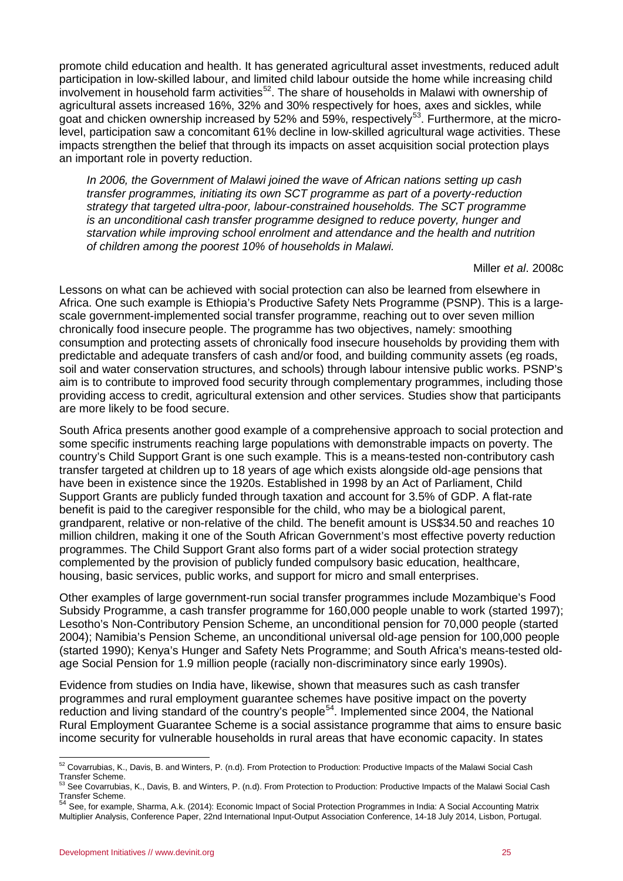promote child education and health. It has generated agricultural asset investments, reduced adult participation in low-skilled labour, and limited child labour outside the home while increasing child involvement in household farm activities<sup>[52](#page-25-0)</sup>. The share of households in Malawi with ownership of agricultural assets increased 16%, 32% and 30% respectively for hoes, axes and sickles, while goat and chicken ownership increased by 52% and 59%, respectively<sup>[53](#page-25-1)</sup>. Furthermore, at the microlevel, participation saw a concomitant 61% decline in low-skilled agricultural wage activities. These impacts strengthen the belief that through its impacts on asset acquisition social protection plays an important role in poverty reduction.

*In 2006, the Government of Malawi joined the wave of African nations setting up cash transfer programmes, initiating its own SCT programme as part of a poverty-reduction strategy that targeted ultra-poor, labour-constrained households. The SCT programme is an unconditional cash transfer programme designed to reduce poverty, hunger and starvation while improving school enrolment and attendance and the health and nutrition of children among the poorest 10% of households in Malawi.*

Miller *et al*. 2008c

Lessons on what can be achieved with social protection can also be learned from elsewhere in Africa. One such example is Ethiopia's Productive Safety Nets Programme (PSNP). This is a largescale government-implemented social transfer programme, reaching out to over seven million chronically food insecure people. The programme has two objectives, namely: smoothing consumption and protecting assets of chronically food insecure households by providing them with predictable and adequate transfers of cash and/or food, and building community assets (eg roads, soil and water conservation structures, and schools) through labour intensive public works. PSNP's aim is to contribute to improved food security through complementary programmes, including those providing access to credit, agricultural extension and other services. Studies show that participants are more likely to be food secure.

South Africa presents another good example of a comprehensive approach to social protection and some specific instruments reaching large populations with demonstrable impacts on poverty. The country's Child Support Grant is one such example. This is a means-tested non-contributory cash transfer targeted at children up to 18 years of age which exists alongside old-age pensions that have been in existence since the 1920s. Established in 1998 by an Act of Parliament, Child Support Grants are publicly funded through taxation and account for 3.5% of GDP. A flat-rate benefit is paid to the caregiver responsible for the child, who may be a biological parent, grandparent, relative or non-relative of the child. The benefit amount is US\$34.50 and reaches 10 million children, making it one of the South African Government's most effective poverty reduction programmes. The Child Support Grant also forms part of a wider social protection strategy complemented by the provision of publicly funded compulsory basic education, healthcare, housing, basic services, public works, and support for micro and small enterprises.

Other examples of large government-run social transfer programmes include Mozambique's Food Subsidy Programme, a cash transfer programme for 160,000 people unable to work (started 1997); Lesotho's Non-Contributory Pension Scheme, an unconditional pension for 70,000 people (started 2004); Namibia's Pension Scheme, an unconditional universal old-age pension for 100,000 people (started 1990); Kenya's Hunger and Safety Nets Programme; and South Africa's means-tested oldage Social Pension for 1.9 million people (racially non-discriminatory since early 1990s).

Evidence from studies on India have, likewise, shown that measures such as cash transfer programmes and rural employment guarantee schemes have positive impact on the poverty reduction and living standard of the country's people<sup>[54](#page-25-2)</sup>. Implemented since 2004, the National Rural Employment Guarantee Scheme is a social assistance programme that aims to ensure basic income security for vulnerable households in rural areas that have economic capacity. In states

<sup>52</sup> Covarrubias, K., Davis, B. and Winters, P. (n.d). From Protection to Production: Productive Impacts of the Malawi Social Cash

<span id="page-25-1"></span><span id="page-25-0"></span>Transfer Scheme.<br><sup>53</sup> See Covarrubias, K., Davis, B. and Winters, P. (n.d). From Protection to Production: Productive Impacts of the Malawi Social Cash Transfer Scheme. 54 See, for example, Sharma, A.k. (2014): Economic Impact of Social Protection Programmes in India: A Social Accounting Matrix<br><sup>54</sup> See, for example, Sharma, A.k. (2014): Economic Impact of Social Protecti

<span id="page-25-2"></span>Multiplier Analysis, Conference Paper, 22nd International Input-Output Association Conference, 14-18 July 2014, Lisbon, Portugal.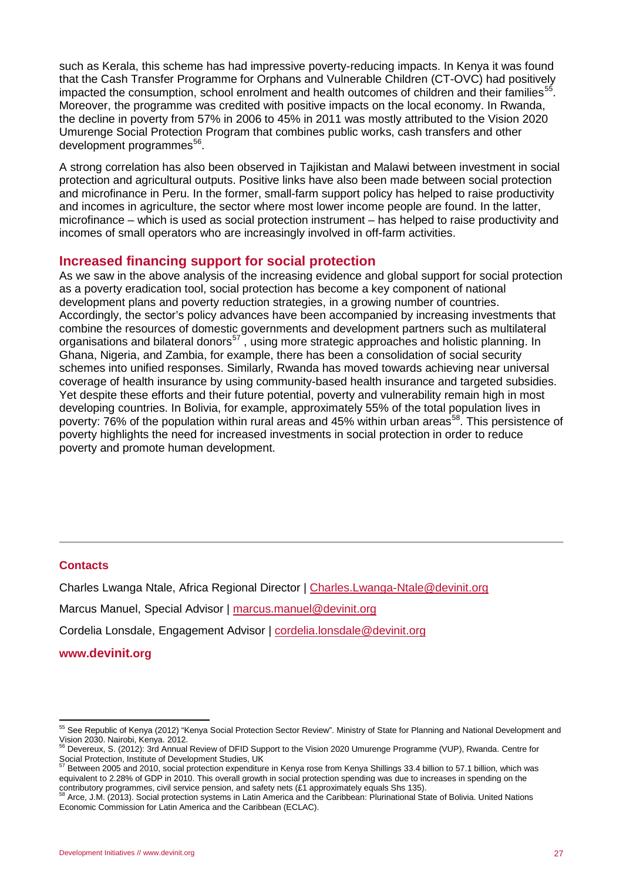such as Kerala, this scheme has had impressive poverty-reducing impacts. In Kenya it was found that the Cash Transfer Programme for Orphans and Vulnerable Children (CT-OVC) had positively impacted the consumption, school enrolment and health outcomes of children and their families<sup>[55](#page-26-2)</sup>. Moreover, the programme was credited with positive impacts on the local economy. In Rwanda, the decline in poverty from 57% in 2006 to 45% in 2011 was mostly attributed to the Vision 2020 Umurenge Social Protection Program that combines public works, cash transfers and other development programmes<sup>56</sup>.

A strong correlation has also been observed in Tajikistan and Malawi between investment in social protection and agricultural outputs. Positive links have also been made between social protection and microfinance in Peru. In the former, small-farm support policy has helped to raise productivity and incomes in agriculture, the sector where most lower income people are found. In the latter, microfinance – which is used as social protection instrument – has helped to raise productivity and incomes of small operators who are increasingly involved in off-farm activities.

#### <span id="page-26-0"></span>**Increased financing support for social protection**

As we saw in the above analysis of the increasing evidence and global support for social protection as a poverty eradication tool, social protection has become a key component of national development plans and poverty reduction strategies, in a growing number of countries. Accordingly, the sector's policy advances have been accompanied by increasing investments that combine the resources of domestic governments and development partners such as multilateral organisations and bilateral donors<sup>[57](#page-26-4)</sup>, using more strategic approaches and holistic planning. In Ghana, Nigeria, and Zambia, for example, there has been a consolidation of social security schemes into unified responses. Similarly, Rwanda has moved towards achieving near universal coverage of health insurance by using community-based health insurance and targeted subsidies. Yet despite these efforts and their future potential, poverty and vulnerability remain high in most developing countries. In Bolivia, for example, approximately 55% of the total population lives in poverty: 76% of the population within rural areas and 45% within urban areas<sup>58</sup>. This persistence of poverty highlights the need for increased investments in social protection in order to reduce poverty and promote human development.

#### <span id="page-26-1"></span>**Contacts**

Charles Lwanga Ntale, Africa Regional Director | [Charles.Lwanga-Ntale@devinit.org](mailto:Charles.Lwanga-Ntale@devinit.org) Marcus Manuel, Special Advisor | [marcus.manuel@devinit.org](mailto:marcus.manuel@devinit.org) Cordelia Lonsdale, Engagement Advisor | [cordelia.lonsdale@devinit.org](mailto:cordelia.lonsdale@devinit.org)

**[www.devinit.org](file:///C:\Users\cordelial\AppData\Local\Microsoft\harpinderc\AppData\Users\danielc\AppData\Local\Microsoft\Windows\Temporary%20Internet%20Files\AppData\Local\Users\charlesntale\AppData\Local\Microsoft\Windows\Temporary%20Internet%20Files\AppData\Local\Microsoft\Windows\INetCache\Content.Outlook\38AFVK0P\www.devinit.org)**

<span id="page-26-2"></span><sup>55</sup> See Republic of Kenya (2012) "Kenya Social Protection Sector Review". Ministry of State for Planning and National Development and Vision 2030. Nairobi, Kenya. 2012.

<span id="page-26-3"></span><sup>&</sup>lt;sup>56</sup> Devereux, S. (2012): 3rd Annual Review of DFID Support to the Vision 2020 Umurenge Programme (VUP), Rwanda. Centre for Social Protection, Institute of Development Studies, UK<br>
<sup>57</sup> Between 2005 said 2015

<span id="page-26-4"></span><sup>57</sup> Between 2005 and 2010, social protection expenditure in Kenya rose from Kenya Shillings 33.4 billion to 57.1 billion, which was equivalent to 2.28% of GDP in 2010. This overall growth in social protection spending was due to increases in spending on the

<span id="page-26-5"></span>contributory programmes, civil service pension, and safety nets (£1 approximately equals Shs 135).<br><sup>58</sup> Arce, J.M. (2013). Social protection systems in Latin America and the Caribbean: Plurinational State of Bolivia. Unite Economic Commission for Latin America and the Caribbean (ECLAC).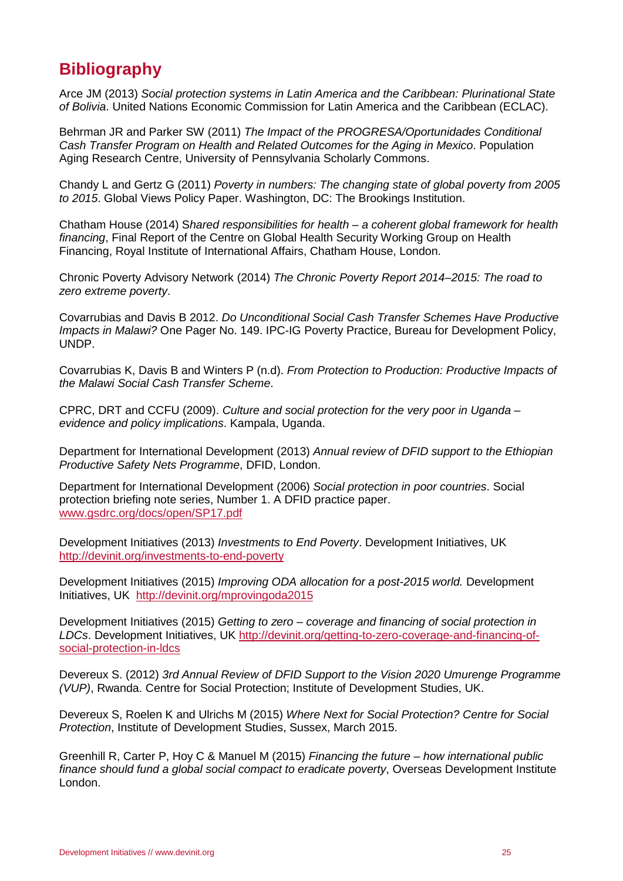# <span id="page-27-0"></span>**Bibliography**

Arce JM (2013) *Social protection systems in Latin America and the Caribbean: Plurinational State of Bolivia*. United Nations Economic Commission for Latin America and the Caribbean (ECLAC).

Behrman JR and Parker SW (2011) *The Impact of the PROGRESA/Oportunidades Conditional Cash Transfer Program on Health and Related Outcomes for the Aging in Mexico*. Population Aging Research Centre, University of Pennsylvania Scholarly Commons.

Chandy L and Gertz G (2011) *Poverty in numbers: The changing state of global poverty from 2005 to 2015*. Global Views Policy Paper. Washington, DC: The Brookings Institution.

Chatham House (2014) S*hared responsibilities for health – a coherent global framework for health financing*, Final Report of the Centre on Global Health Security Working Group on Health Financing, Royal Institute of International Affairs, Chatham House, London.

Chronic Poverty Advisory Network (2014) *The Chronic Poverty Report 2014–2015: The road to zero extreme poverty*.

Covarrubias and Davis B 2012. *Do Unconditional Social Cash Transfer Schemes Have Productive Impacts in Malawi?* One Pager No. 149. IPC-IG Poverty Practice, Bureau for Development Policy, UNDP.

Covarrubias K, Davis B and Winters P (n.d). *From Protection to Production: Productive Impacts of the Malawi Social Cash Transfer Scheme*.

CPRC, DRT and CCFU (2009). *Culture and social protection for the very poor in Uganda – evidence and policy implications*. Kampala, Uganda.

Department for International Development (2013) *Annual review of DFID support to the Ethiopian Productive Safety Nets Programme*, DFID, London.

Department for International Development (2006) *Social protection in poor countries*. Social protection briefing note series, Number 1. A DFID practice paper. [www.gsdrc.org/docs/open/SP17.pdf](http://www.gsdrc.org/docs/open/SP17.pdf)

Development Initiatives (2013) *Investments to End Poverty*. Development Initiatives, UK <http://devinit.org/investments-to-end-poverty>

Development Initiatives (2015) *Improving ODA allocation for a post-2015 world.* Development Initiatives, UK [http://devinit.org/mprovingoda2015](http://devinit.org/#!/post/improvingoda2015)

Development Initiatives (2015) *Getting to zero – coverage and financing of social protection in LDCs*. Development Initiatives, UK [http://devinit.org/getting-to-zero-coverage-and-financing-of](http://devinit.org/getting-to-zero-coverage-and-financing-of-social-protection-in-ldcs)[social-protection-in-ldcs](http://devinit.org/getting-to-zero-coverage-and-financing-of-social-protection-in-ldcs) 

Devereux S. (2012) *3rd Annual Review of DFID Support to the Vision 2020 Umurenge Programme (VUP)*, Rwanda. Centre for Social Protection; Institute of Development Studies, UK.

Devereux S, Roelen K and Ulrichs M (2015) *Where Next for Social Protection? Centre for Social Protection*, Institute of Development Studies, Sussex, March 2015.

Greenhill R, Carter P, Hoy C & Manuel M (2015) *Financing the future – how international public finance should fund a global social compact to eradicate poverty*, Overseas Development Institute London.